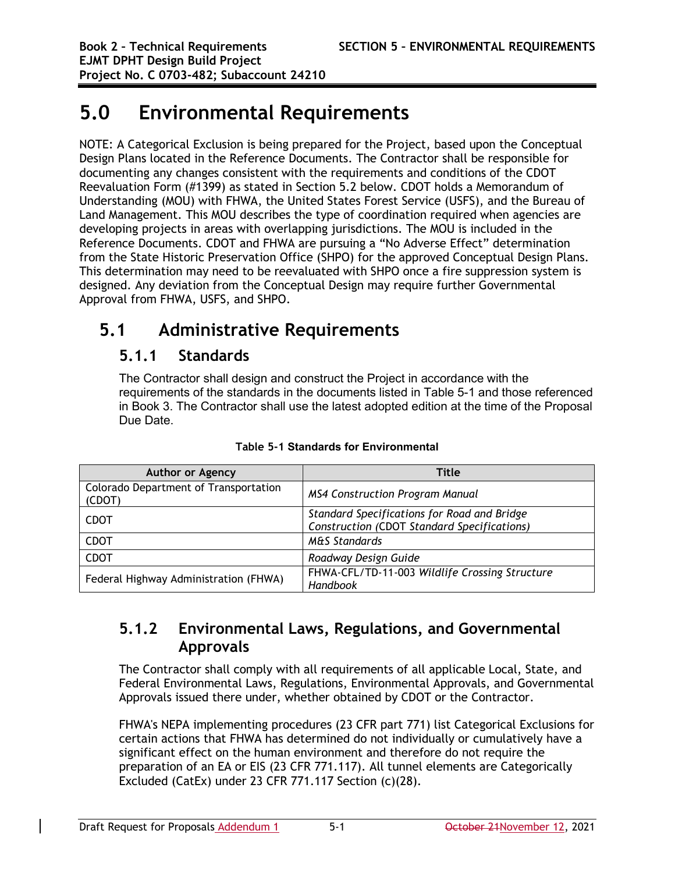# **5.0 Environmental Requirements**

NOTE: A Categorical Exclusion is being prepared for the Project, based upon the Conceptual Design Plans located in the Reference Documents. The Contractor shall be responsible for documenting any changes consistent with the requirements and conditions of the CDOT Reevaluation Form (#1399) as stated in Section 5.2 below. CDOT holds a Memorandum of Understanding (MOU) with FHWA, the United States Forest Service (USFS), and the Bureau of Land Management. This MOU describes the type of coordination required when agencies are developing projects in areas with overlapping jurisdictions. The MOU is included in the Reference Documents. CDOT and FHWA are pursuing a "No Adverse Effect" determination from the State Historic Preservation Office (SHPO) for the approved Conceptual Design Plans. This determination may need to be reevaluated with SHPO once a fire suppression system is designed. Any deviation from the Conceptual Design may require further Governmental Approval from FHWA, USFS, and SHPO.

# **5.1 Administrative Requirements**

## **5.1.1 Standards**

The Contractor shall design and construct the Project in accordance with the requirements of the standards in the documents listed in Table 5-1 and those referenced in Book 3. The Contractor shall use the latest adopted edition at the time of the Proposal Due Date.

| <b>Author or Agency</b>                         | Title                                                                                      |
|-------------------------------------------------|--------------------------------------------------------------------------------------------|
| Colorado Department of Transportation<br>(CDOT) | <b>MS4 Construction Program Manual</b>                                                     |
| <b>CDOT</b>                                     | Standard Specifications for Road and Bridge<br>Construction (CDOT Standard Specifications) |
| <b>CDOT</b>                                     | <b>M&amp;S Standards</b>                                                                   |
| <b>CDOT</b>                                     | Roadway Design Guide                                                                       |
| Federal Highway Administration (FHWA)           | FHWA-CFL/TD-11-003 Wildlife Crossing Structure<br>Handbook                                 |

**Table 5-1 Standards for Environmental**

## **5.1.2 Environmental Laws, Regulations, and Governmental Approvals**

The Contractor shall comply with all requirements of all applicable Local, State, and Federal Environmental Laws, Regulations, Environmental Approvals, and Governmental Approvals issued there under, whether obtained by CDOT or the Contractor.

FHWA's NEPA implementing procedures (23 CFR part 771) list Categorical Exclusions for certain actions that FHWA has determined do not individually or cumulatively have a significant effect on the human environment and therefore do not require the preparation of an EA or EIS (23 CFR 771.117). All tunnel elements are Categorically Excluded (CatEx) under 23 CFR 771.117 Section (c)(28).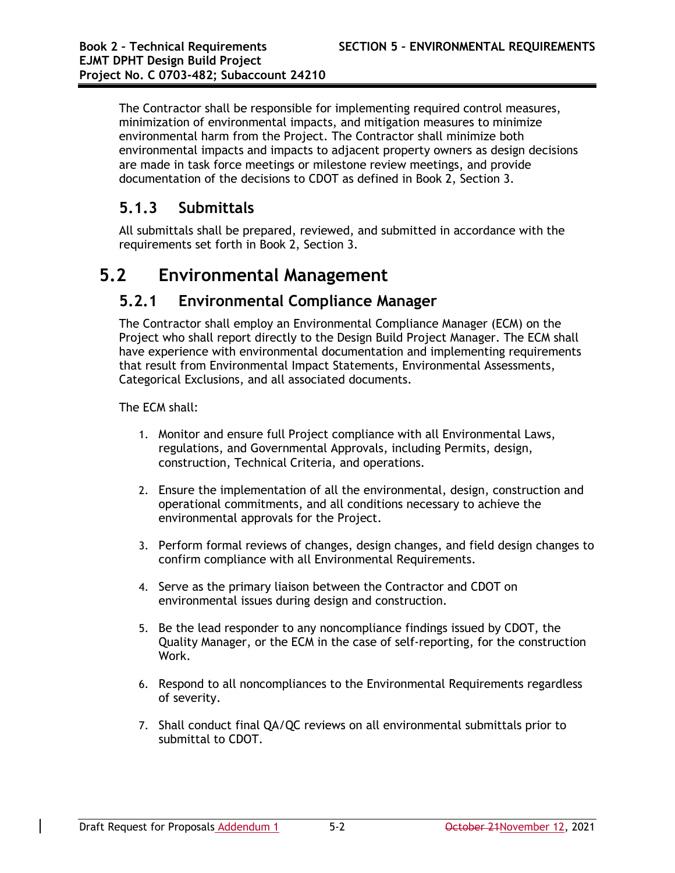The Contractor shall be responsible for implementing required control measures, minimization of environmental impacts, and mitigation measures to minimize environmental harm from the Project. The Contractor shall minimize both environmental impacts and impacts to adjacent property owners as design decisions are made in task force meetings or milestone review meetings, and provide documentation of the decisions to CDOT as defined in Book 2, Section 3.

## **5.1.3 Submittals**

All submittals shall be prepared, reviewed, and submitted in accordance with the requirements set forth in Book 2, Section 3.

# **5.2 Environmental Management**

## **5.2.1 Environmental Compliance Manager**

The Contractor shall employ an Environmental Compliance Manager (ECM) on the Project who shall report directly to the Design Build Project Manager. The ECM shall have experience with environmental documentation and implementing requirements that result from Environmental Impact Statements, Environmental Assessments, Categorical Exclusions, and all associated documents.

The ECM shall:

- 1. Monitor and ensure full Project compliance with all Environmental Laws, regulations, and Governmental Approvals, including Permits, design, construction, Technical Criteria, and operations.
- 2. Ensure the implementation of all the environmental, design, construction and operational commitments, and all conditions necessary to achieve the environmental approvals for the Project.
- 3. Perform formal reviews of changes, design changes, and field design changes to confirm compliance with all Environmental Requirements.
- 4. Serve as the primary liaison between the Contractor and CDOT on environmental issues during design and construction.
- 5. Be the lead responder to any noncompliance findings issued by CDOT, the Quality Manager, or the ECM in the case of self-reporting, for the construction Work.
- 6. Respond to all noncompliances to the Environmental Requirements regardless of severity.
- 7. Shall conduct final QA/QC reviews on all environmental submittals prior to submittal to CDOT.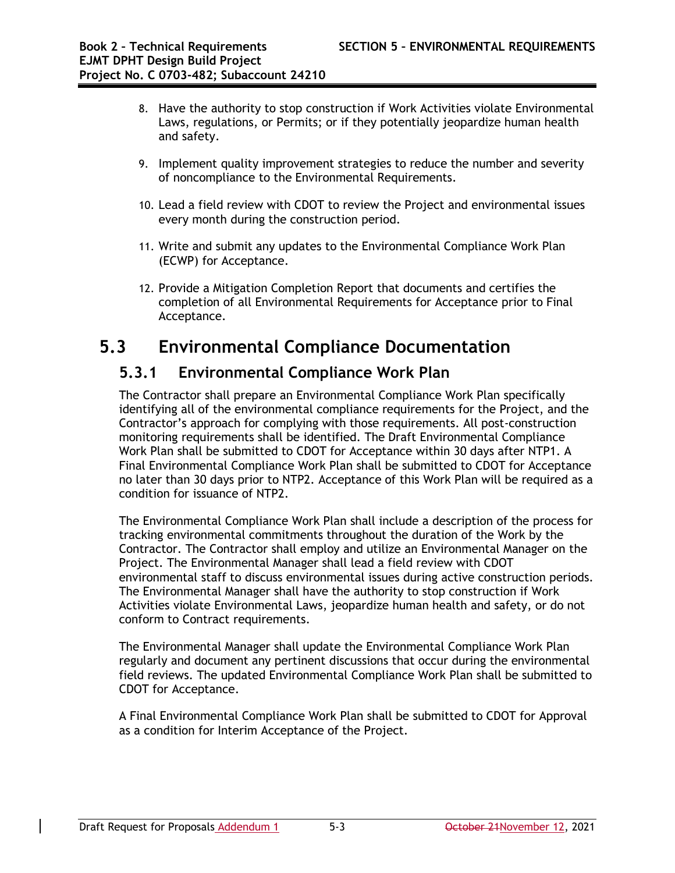- 8. Have the authority to stop construction if Work Activities violate Environmental Laws, regulations, or Permits; or if they potentially jeopardize human health and safety.
- 9. Implement quality improvement strategies to reduce the number and severity of noncompliance to the Environmental Requirements.
- 10. Lead a field review with CDOT to review the Project and environmental issues every month during the construction period.
- 11. Write and submit any updates to the Environmental Compliance Work Plan (ECWP) for Acceptance.
- 12. Provide a Mitigation Completion Report that documents and certifies the completion of all Environmental Requirements for Acceptance prior to Final Acceptance.

# **5.3 Environmental Compliance Documentation**

## **5.3.1 Environmental Compliance Work Plan**

The Contractor shall prepare an Environmental Compliance Work Plan specifically identifying all of the environmental compliance requirements for the Project, and the Contractor's approach for complying with those requirements. All post-construction monitoring requirements shall be identified. The Draft Environmental Compliance Work Plan shall be submitted to CDOT for Acceptance within 30 days after NTP1. A Final Environmental Compliance Work Plan shall be submitted to CDOT for Acceptance no later than 30 days prior to NTP2. Acceptance of this Work Plan will be required as a condition for issuance of NTP2.

The Environmental Compliance Work Plan shall include a description of the process for tracking environmental commitments throughout the duration of the Work by the Contractor. The Contractor shall employ and utilize an Environmental Manager on the Project. The Environmental Manager shall lead a field review with CDOT environmental staff to discuss environmental issues during active construction periods. The Environmental Manager shall have the authority to stop construction if Work Activities violate Environmental Laws, jeopardize human health and safety, or do not conform to Contract requirements.

The Environmental Manager shall update the Environmental Compliance Work Plan regularly and document any pertinent discussions that occur during the environmental field reviews. The updated Environmental Compliance Work Plan shall be submitted to CDOT for Acceptance.

A Final Environmental Compliance Work Plan shall be submitted to CDOT for Approval as a condition for Interim Acceptance of the Project.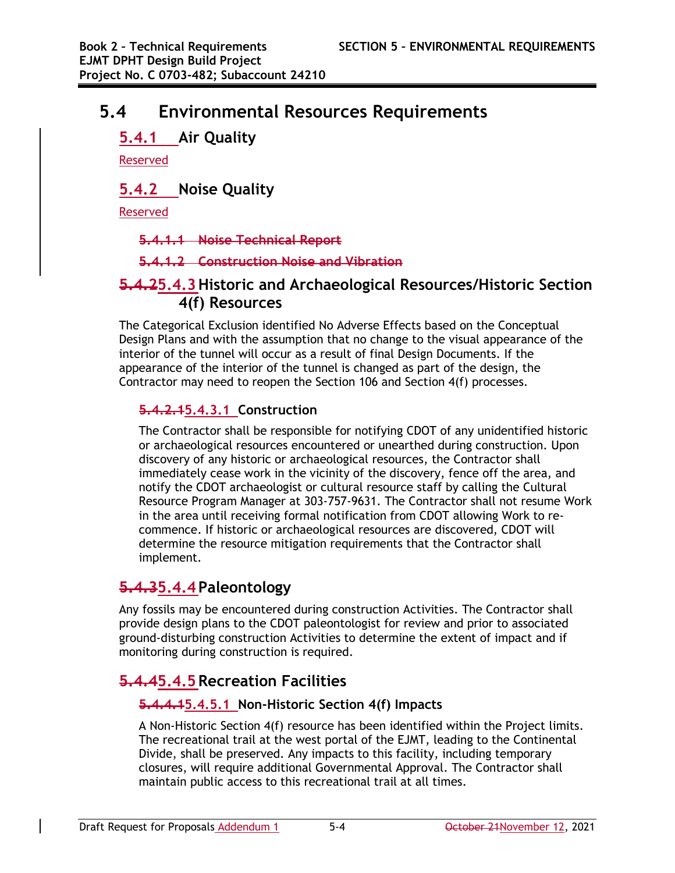# **5.4 Environmental Resources Requirements**

## **5.4.1 Air Quality**

Reserved

## **5.4.2 Noise Quality**

Reserved

**5.4.1.1 Noise Technical Report**

**5.4.1.2 Construction Noise and Vibration**

## **5.4.25.4.3Historic and Archaeological Resources/Historic Section 4(f) Resources**

The Categorical Exclusion identified No Adverse Effects based on the Conceptual Design Plans and with the assumption that no change to the visual appearance of the interior of the tunnel will occur as a result of final Design Documents. If the appearance of the interior of the tunnel is changed as part of the design, the Contractor may need to reopen the Section 106 and Section 4(f) processes.

## **5.4.2.15.4.3.1 Construction**

The Contractor shall be responsible for notifying CDOT of any unidentified historic or archaeological resources encountered or unearthed during construction. Upon discovery of any historic or archaeological resources, the Contractor shall immediately cease work in the vicinity of the discovery, fence off the area, and notify the CDOT archaeologist or cultural resource staff by calling the Cultural Resource Program Manager at 303-757-9631. The Contractor shall not resume Work in the area until receiving formal notification from CDOT allowing Work to recommence. If historic or archaeological resources are discovered, CDOT will determine the resource mitigation requirements that the Contractor shall implement.

## **5.4.35.4.4 Paleontology**

Any fossils may be encountered during construction Activities. The Contractor shall provide design plans to the CDOT paleontologist for review and prior to associated ground-disturbing construction Activities to determine the extent of impact and if monitoring during construction is required.

# **5.4.45.4.5Recreation Facilities**

## **5.4.4.15.4.5.1 Non-Historic Section 4(f) Impacts**

A Non-Historic Section 4(f) resource has been identified within the Project limits. The recreational trail at the west portal of the EJMT, leading to the Continental Divide, shall be preserved. Any impacts to this facility, including temporary closures, will require additional Governmental Approval. The Contractor shall maintain public access to this recreational trail at all times.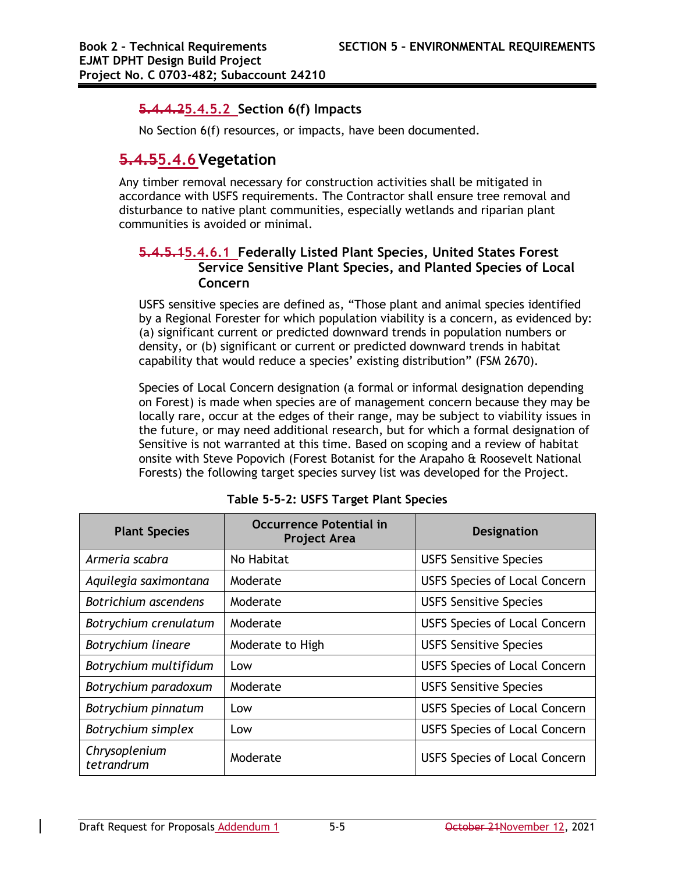### **5.4.4.25.4.5.2 Section 6(f) Impacts**

No Section 6(f) resources, or impacts, have been documented.

## **5.4.55.4.6Vegetation**

Any timber removal necessary for construction activities shall be mitigated in accordance with USFS requirements. The Contractor shall ensure tree removal and disturbance to native plant communities, especially wetlands and riparian plant communities is avoided or minimal.

### **5.4.5.15.4.6.1 Federally Listed Plant Species, United States Forest Service Sensitive Plant Species, and Planted Species of Local Concern**

USFS sensitive species are defined as, "Those plant and animal species identified by a Regional Forester for which population viability is a concern, as evidenced by: (a) significant current or predicted downward trends in population numbers or density, or (b) significant or current or predicted downward trends in habitat capability that would reduce a species' existing distribution" (FSM 2670).

Species of Local Concern designation (a formal or informal designation depending on Forest) is made when species are of management concern because they may be locally rare, occur at the edges of their range, may be subject to viability issues in the future, or may need additional research, but for which a formal designation of Sensitive is not warranted at this time. Based on scoping and a review of habitat onsite with Steve Popovich (Forest Botanist for the Arapaho & Roosevelt National Forests) the following target species survey list was developed for the Project.

| <b>Plant Species</b>        | <b>Occurrence Potential in</b><br><b>Project Area</b> | <b>Designation</b>                   |
|-----------------------------|-------------------------------------------------------|--------------------------------------|
| Armeria scabra              | No Habitat                                            | <b>USFS Sensitive Species</b>        |
| Aquilegia saximontana       | Moderate                                              | <b>USFS Species of Local Concern</b> |
| Botrichium ascendens        | Moderate                                              | <b>USFS Sensitive Species</b>        |
| Botrychium crenulatum       | Moderate                                              | <b>USFS Species of Local Concern</b> |
| Botrychium lineare          | Moderate to High                                      | <b>USFS Sensitive Species</b>        |
| Botrychium multifidum       | Low                                                   | <b>USFS Species of Local Concern</b> |
| Botrychium paradoxum        | Moderate                                              | <b>USFS Sensitive Species</b>        |
| Botrychium pinnatum         | Low                                                   | <b>USFS Species of Local Concern</b> |
| Botrychium simplex          | Low                                                   | <b>USFS Species of Local Concern</b> |
| Chrysoplenium<br>tetrandrum | Moderate                                              | <b>USFS Species of Local Concern</b> |

|  |  |  |  |  | Table 5-5-2: USFS Target Plant Species |
|--|--|--|--|--|----------------------------------------|
|--|--|--|--|--|----------------------------------------|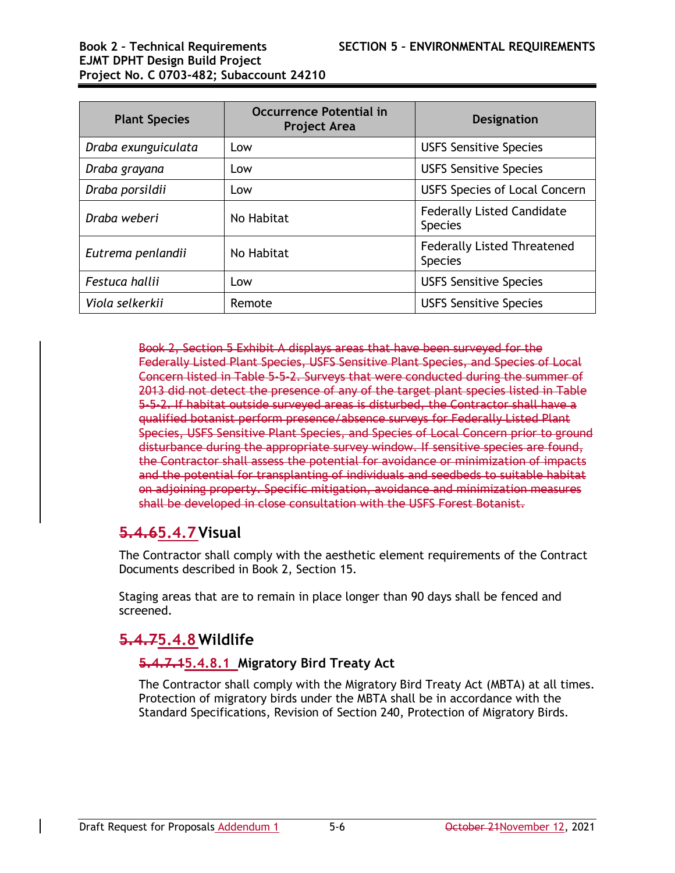# **EJMT DPHT Design Build Project Project No. C 0703-482; Subaccount 24210**

| <b>Plant Species</b> | <b>Occurrence Potential in</b><br><b>Project Area</b> | <b>Designation</b>                                   |
|----------------------|-------------------------------------------------------|------------------------------------------------------|
| Draba exunguiculata  | Low                                                   | <b>USFS Sensitive Species</b>                        |
| Draba grayana        | Low                                                   | <b>USFS Sensitive Species</b>                        |
| Draba porsildii      | Low                                                   | <b>USFS Species of Local Concern</b>                 |
| Draba weberi         | No Habitat                                            | <b>Federally Listed Candidate</b><br><b>Species</b>  |
| Eutrema penlandii    | No Habitat                                            | <b>Federally Listed Threatened</b><br><b>Species</b> |
| Festuca hallii       | Low                                                   | <b>USFS Sensitive Species</b>                        |
| Viola selkerkii      | Remote                                                | <b>USFS Sensitive Species</b>                        |

Book 2, Section 5 Exhibit A displays areas that have been surveyed for the Federally Listed Plant Species, USFS Sensitive Plant Species, and Species of Local Concern listed in Table 5-5-2. Surveys that were conducted during the summer of 2013 did not detect the presence of any of the target plant species listed in Table 5-5-2. If habitat outside surveyed areas is disturbed, the Contractor shall have a qualified botanist perform presence/absence surveys for Federally Listed Plant Species, USFS Sensitive Plant Species, and Species of Local Concern prior to ground disturbance during the appropriate survey window. If sensitive species are found, the Contractor shall assess the potential for avoidance or minimization of impacts and the potential for transplanting of individuals and seedbeds to suitable habitat on adjoining property. Specific mitigation, avoidance and minimization measures shall be developed in close consultation with the USFS Forest Botanist.

## **5.4.65.4.7Visual**

The Contractor shall comply with the aesthetic element requirements of the Contract Documents described in Book 2, Section 15.

Staging areas that are to remain in place longer than 90 days shall be fenced and screened.

## **5.4.75.4.8 Wildlife**

### **5.4.7.15.4.8.1 Migratory Bird Treaty Act**

The Contractor shall comply with the Migratory Bird Treaty Act (MBTA) at all times. Protection of migratory birds under the MBTA shall be in accordance with the Standard Specifications, Revision of Section 240, Protection of Migratory Birds.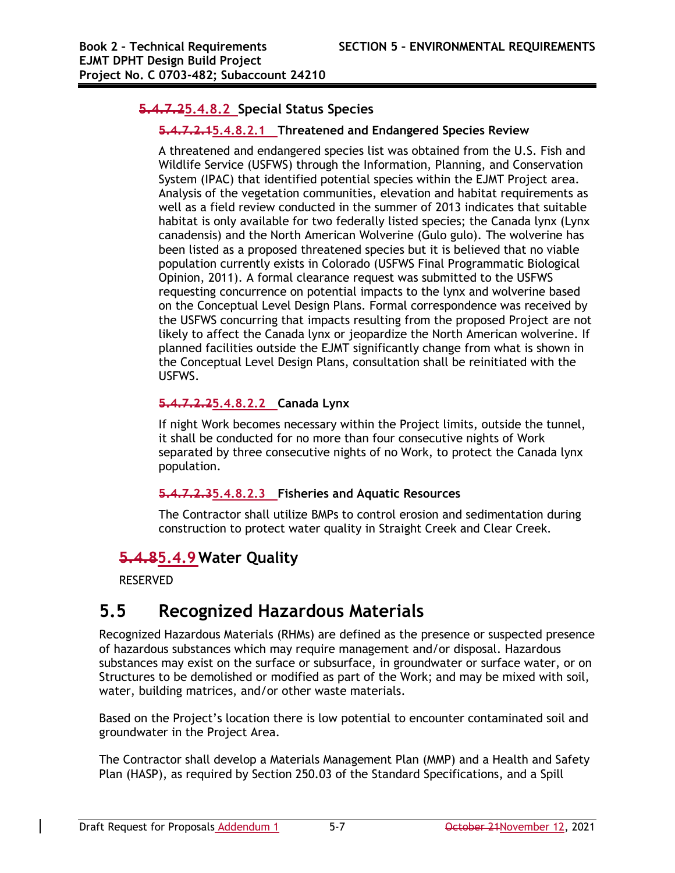### **5.4.7.25.4.8.2 Special Status Species**

### **5.4.7.2.15.4.8.2.1 Threatened and Endangered Species Review**

A threatened and endangered species list was obtained from the U.S. Fish and Wildlife Service (USFWS) through the Information, Planning, and Conservation System (IPAC) that identified potential species within the EJMT Project area. Analysis of the vegetation communities, elevation and habitat requirements as well as a field review conducted in the summer of 2013 indicates that suitable habitat is only available for two federally listed species; the Canada lynx (Lynx canadensis) and the North American Wolverine (Gulo gulo). The wolverine has been listed as a proposed threatened species but it is believed that no viable population currently exists in Colorado (USFWS Final Programmatic Biological Opinion, 2011). A formal clearance request was submitted to the USFWS requesting concurrence on potential impacts to the lynx and wolverine based on the Conceptual Level Design Plans. Formal correspondence was received by the USFWS concurring that impacts resulting from the proposed Project are not likely to affect the Canada lynx or jeopardize the North American wolverine. If planned facilities outside the EJMT significantly change from what is shown in the Conceptual Level Design Plans, consultation shall be reinitiated with the USFWS.

### **5.4.7.2.25.4.8.2.2 Canada Lynx**

If night Work becomes necessary within the Project limits, outside the tunnel, it shall be conducted for no more than four consecutive nights of Work separated by three consecutive nights of no Work, to protect the Canada lynx population.

### **5.4.7.2.35.4.8.2.3 Fisheries and Aquatic Resources**

The Contractor shall utilize BMPs to control erosion and sedimentation during construction to protect water quality in Straight Creek and Clear Creek.

## **5.4.85.4.9 Water Quality**

RESERVED

# **5.5 Recognized Hazardous Materials**

Recognized Hazardous Materials (RHMs) are defined as the presence or suspected presence of hazardous substances which may require management and/or disposal. Hazardous substances may exist on the surface or subsurface, in groundwater or surface water, or on Structures to be demolished or modified as part of the Work; and may be mixed with soil, water, building matrices, and/or other waste materials.

Based on the Project's location there is low potential to encounter contaminated soil and groundwater in the Project Area.

The Contractor shall develop a Materials Management Plan (MMP) and a Health and Safety Plan (HASP), as required by Section 250.03 of the Standard Specifications, and a Spill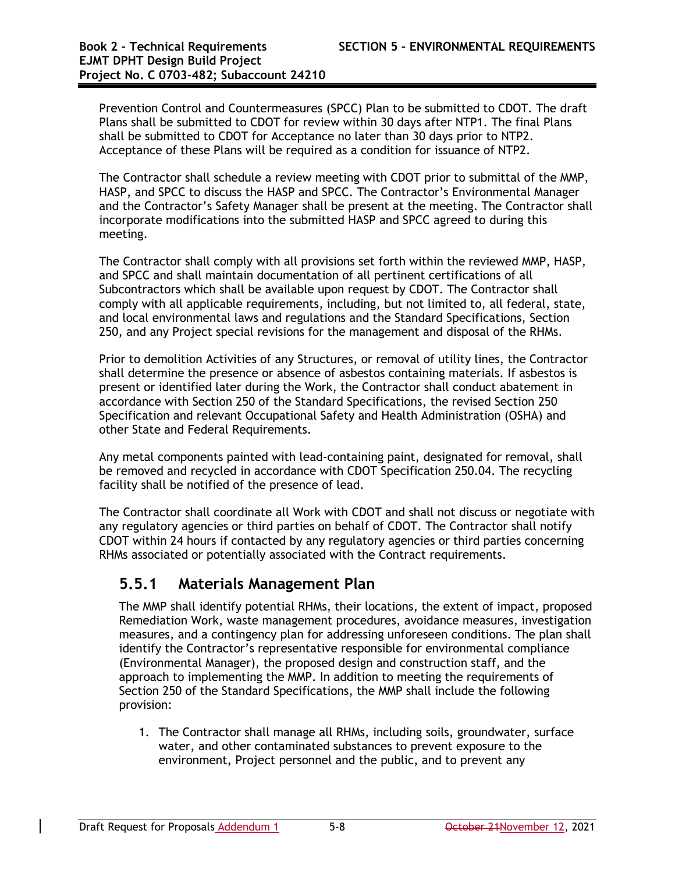Prevention Control and Countermeasures (SPCC) Plan to be submitted to CDOT. The draft Plans shall be submitted to CDOT for review within 30 days after NTP1. The final Plans shall be submitted to CDOT for Acceptance no later than 30 days prior to NTP2. Acceptance of these Plans will be required as a condition for issuance of NTP2.

The Contractor shall schedule a review meeting with CDOT prior to submittal of the MMP, HASP, and SPCC to discuss the HASP and SPCC. The Contractor's Environmental Manager and the Contractor's Safety Manager shall be present at the meeting. The Contractor shall incorporate modifications into the submitted HASP and SPCC agreed to during this meeting.

The Contractor shall comply with all provisions set forth within the reviewed MMP, HASP, and SPCC and shall maintain documentation of all pertinent certifications of all Subcontractors which shall be available upon request by CDOT. The Contractor shall comply with all applicable requirements, including, but not limited to, all federal, state, and local environmental laws and regulations and the Standard Specifications, Section 250, and any Project special revisions for the management and disposal of the RHMs.

Prior to demolition Activities of any Structures, or removal of utility lines, the Contractor shall determine the presence or absence of asbestos containing materials. If asbestos is present or identified later during the Work, the Contractor shall conduct abatement in accordance with Section 250 of the Standard Specifications, the revised Section 250 Specification and relevant Occupational Safety and Health Administration (OSHA) and other State and Federal Requirements.

Any metal components painted with lead-containing paint, designated for removal, shall be removed and recycled in accordance with CDOT Specification 250.04. The recycling facility shall be notified of the presence of lead.

The Contractor shall coordinate all Work with CDOT and shall not discuss or negotiate with any regulatory agencies or third parties on behalf of CDOT. The Contractor shall notify CDOT within 24 hours if contacted by any regulatory agencies or third parties concerning RHMs associated or potentially associated with the Contract requirements.

## **5.5.1 Materials Management Plan**

The MMP shall identify potential RHMs, their locations, the extent of impact, proposed Remediation Work, waste management procedures, avoidance measures, investigation measures, and a contingency plan for addressing unforeseen conditions. The plan shall identify the Contractor's representative responsible for environmental compliance (Environmental Manager), the proposed design and construction staff, and the approach to implementing the MMP. In addition to meeting the requirements of Section 250 of the Standard Specifications, the MMP shall include the following provision:

1. The Contractor shall manage all RHMs, including soils, groundwater, surface water, and other contaminated substances to prevent exposure to the environment, Project personnel and the public, and to prevent any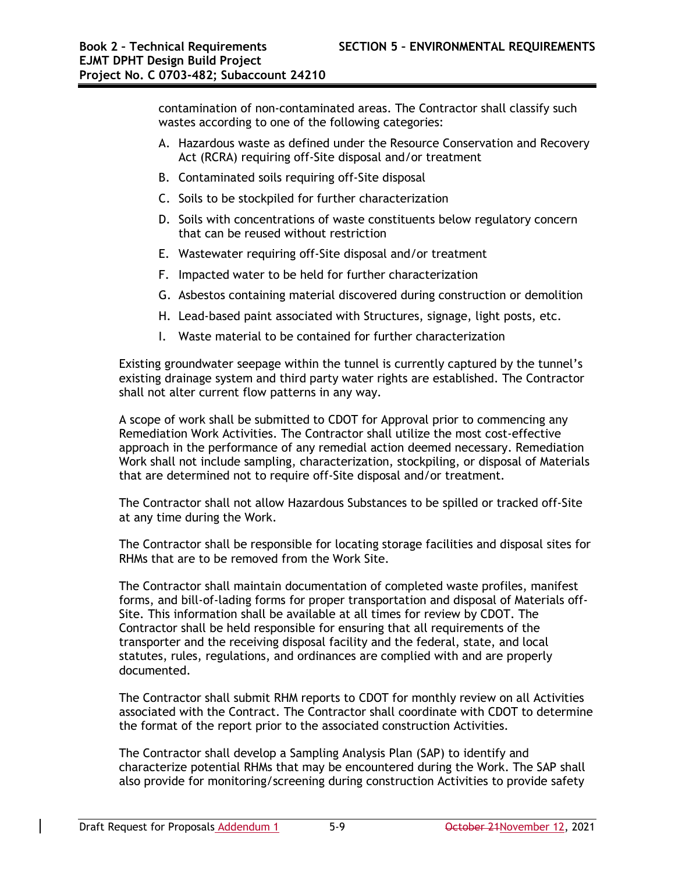contamination of non-contaminated areas. The Contractor shall classify such wastes according to one of the following categories:

- A. Hazardous waste as defined under the Resource Conservation and Recovery Act (RCRA) requiring off-Site disposal and/or treatment
- B. Contaminated soils requiring off-Site disposal
- C. Soils to be stockpiled for further characterization
- D. Soils with concentrations of waste constituents below regulatory concern that can be reused without restriction
- E. Wastewater requiring off-Site disposal and/or treatment
- F. Impacted water to be held for further characterization
- G. Asbestos containing material discovered during construction or demolition
- H. Lead-based paint associated with Structures, signage, light posts, etc.
- I. Waste material to be contained for further characterization

Existing groundwater seepage within the tunnel is currently captured by the tunnel's existing drainage system and third party water rights are established. The Contractor shall not alter current flow patterns in any way.

A scope of work shall be submitted to CDOT for Approval prior to commencing any Remediation Work Activities. The Contractor shall utilize the most cost-effective approach in the performance of any remedial action deemed necessary. Remediation Work shall not include sampling, characterization, stockpiling, or disposal of Materials that are determined not to require off-Site disposal and/or treatment.

The Contractor shall not allow Hazardous Substances to be spilled or tracked off-Site at any time during the Work.

The Contractor shall be responsible for locating storage facilities and disposal sites for RHMs that are to be removed from the Work Site.

The Contractor shall maintain documentation of completed waste profiles, manifest forms, and bill-of-lading forms for proper transportation and disposal of Materials off-Site. This information shall be available at all times for review by CDOT. The Contractor shall be held responsible for ensuring that all requirements of the transporter and the receiving disposal facility and the federal, state, and local statutes, rules, regulations, and ordinances are complied with and are properly documented.

The Contractor shall submit RHM reports to CDOT for monthly review on all Activities associated with the Contract. The Contractor shall coordinate with CDOT to determine the format of the report prior to the associated construction Activities.

The Contractor shall develop a Sampling Analysis Plan (SAP) to identify and characterize potential RHMs that may be encountered during the Work. The SAP shall also provide for monitoring/screening during construction Activities to provide safety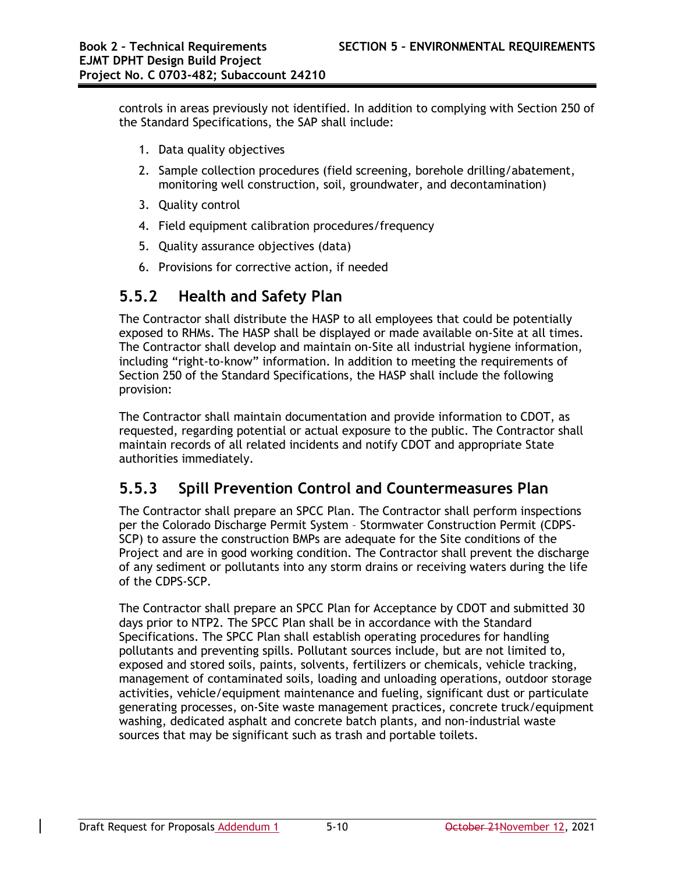controls in areas previously not identified. In addition to complying with Section 250 of the Standard Specifications, the SAP shall include:

- 1. Data quality objectives
- 2. Sample collection procedures (field screening, borehole drilling/abatement, monitoring well construction, soil, groundwater, and decontamination)
- 3. Quality control
- 4. Field equipment calibration procedures/frequency
- 5. Quality assurance objectives (data)
- 6. Provisions for corrective action, if needed

## **5.5.2 Health and Safety Plan**

The Contractor shall distribute the HASP to all employees that could be potentially exposed to RHMs. The HASP shall be displayed or made available on-Site at all times. The Contractor shall develop and maintain on-Site all industrial hygiene information, including "right-to-know" information. In addition to meeting the requirements of Section 250 of the Standard Specifications, the HASP shall include the following provision:

The Contractor shall maintain documentation and provide information to CDOT, as requested, regarding potential or actual exposure to the public. The Contractor shall maintain records of all related incidents and notify CDOT and appropriate State authorities immediately.

## **5.5.3 Spill Prevention Control and Countermeasures Plan**

The Contractor shall prepare an SPCC Plan. The Contractor shall perform inspections per the Colorado Discharge Permit System – Stormwater Construction Permit (CDPS-SCP) to assure the construction BMPs are adequate for the Site conditions of the Project and are in good working condition. The Contractor shall prevent the discharge of any sediment or pollutants into any storm drains or receiving waters during the life of the CDPS-SCP.

The Contractor shall prepare an SPCC Plan for Acceptance by CDOT and submitted 30 days prior to NTP2. The SPCC Plan shall be in accordance with the Standard Specifications. The SPCC Plan shall establish operating procedures for handling pollutants and preventing spills. Pollutant sources include, but are not limited to, exposed and stored soils, paints, solvents, fertilizers or chemicals, vehicle tracking, management of contaminated soils, loading and unloading operations, outdoor storage activities, vehicle/equipment maintenance and fueling, significant dust or particulate generating processes, on-Site waste management practices, concrete truck/equipment washing, dedicated asphalt and concrete batch plants, and non-industrial waste sources that may be significant such as trash and portable toilets.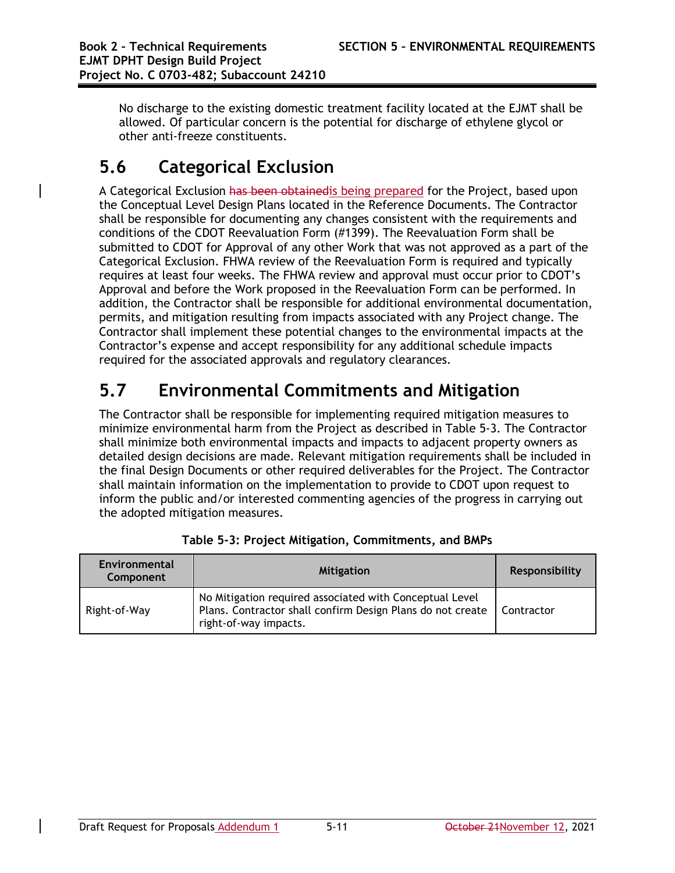No discharge to the existing domestic treatment facility located at the EJMT shall be allowed. Of particular concern is the potential for discharge of ethylene glycol or other anti-freeze constituents.

# **5.6 Categorical Exclusion**

A Categorical Exclusion has been obtainedis being prepared for the Project, based upon the Conceptual Level Design Plans located in the Reference Documents. The Contractor shall be responsible for documenting any changes consistent with the requirements and conditions of the CDOT Reevaluation Form (#1399). The Reevaluation Form shall be submitted to CDOT for Approval of any other Work that was not approved as a part of the Categorical Exclusion. FHWA review of the Reevaluation Form is required and typically requires at least four weeks. The FHWA review and approval must occur prior to CDOT's Approval and before the Work proposed in the Reevaluation Form can be performed. In addition, the Contractor shall be responsible for additional environmental documentation, permits, and mitigation resulting from impacts associated with any Project change. The Contractor shall implement these potential changes to the environmental impacts at the Contractor's expense and accept responsibility for any additional schedule impacts required for the associated approvals and regulatory clearances.

# **5.7 Environmental Commitments and Mitigation**

The Contractor shall be responsible for implementing required mitigation measures to minimize environmental harm from the Project as described in Table 5-3. The Contractor shall minimize both environmental impacts and impacts to adjacent property owners as detailed design decisions are made. Relevant mitigation requirements shall be included in the final Design Documents or other required deliverables for the Project. The Contractor shall maintain information on the implementation to provide to CDOT upon request to inform the public and/or interested commenting agencies of the progress in carrying out the adopted mitigation measures.

| Environmental<br>Component | <b>Mitigation</b>                                                                                                                              | <b>Responsibility</b> |
|----------------------------|------------------------------------------------------------------------------------------------------------------------------------------------|-----------------------|
| Right-of-Way               | No Mitigation required associated with Conceptual Level<br>Plans. Contractor shall confirm Design Plans do not create<br>right-of-way impacts. | <b>Contractor</b>     |

| Table 5-3: Project Mitigation, Commitments, and BMPs |  |
|------------------------------------------------------|--|
|                                                      |  |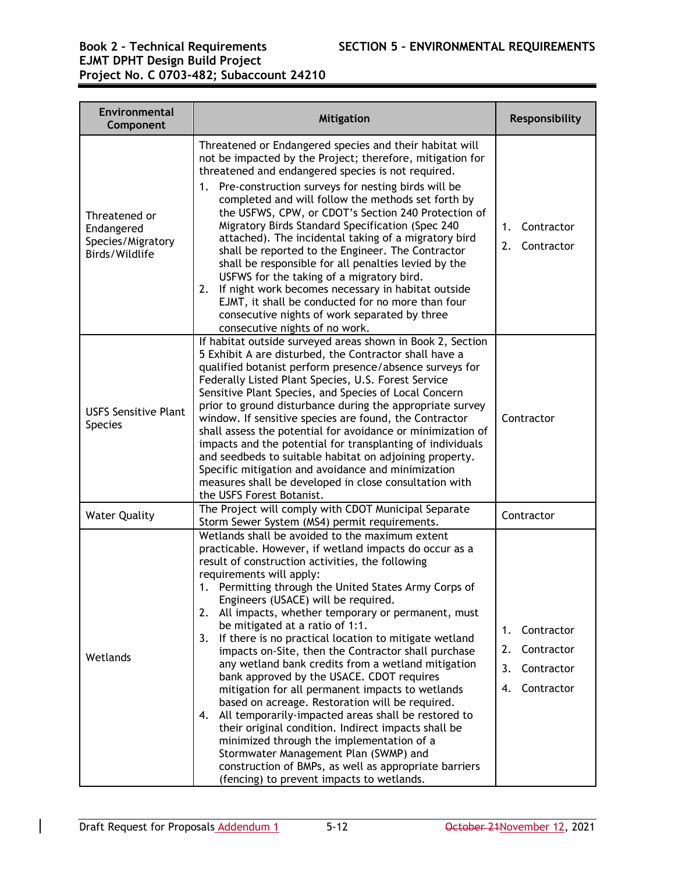# **EJMT DPHT Design Build Project Project No. C 0703-482; Subaccount 24210**

| Environmental<br>Component                                         | <b>Mitigation</b>                                                                                                                                                                                                                                                                                                                                                                                                                                                                                                                                                                                                                                                                                                                                                                                                                                                                                                                                                                                                                          | Responsibility                                                               |
|--------------------------------------------------------------------|--------------------------------------------------------------------------------------------------------------------------------------------------------------------------------------------------------------------------------------------------------------------------------------------------------------------------------------------------------------------------------------------------------------------------------------------------------------------------------------------------------------------------------------------------------------------------------------------------------------------------------------------------------------------------------------------------------------------------------------------------------------------------------------------------------------------------------------------------------------------------------------------------------------------------------------------------------------------------------------------------------------------------------------------|------------------------------------------------------------------------------|
| Threatened or<br>Endangered<br>Species/Migratory<br>Birds/Wildlife | Threatened or Endangered species and their habitat will<br>not be impacted by the Project; therefore, mitigation for<br>threatened and endangered species is not required.<br>1. Pre-construction surveys for nesting birds will be<br>completed and will follow the methods set forth by<br>the USFWS, CPW, or CDOT's Section 240 Protection of<br>Migratory Birds Standard Specification (Spec 240<br>attached). The incidental taking of a migratory bird<br>shall be reported to the Engineer. The Contractor<br>shall be responsible for all penalties levied by the<br>USFWS for the taking of a migratory bird.<br>If night work becomes necessary in habitat outside<br>2.<br>EJMT, it shall be conducted for no more than four<br>consecutive nights of work separated by three<br>consecutive nights of no work.                                                                                                                                                                                                                 | Contractor<br>1.<br>2.<br>Contractor                                         |
| <b>USFS Sensitive Plant</b><br><b>Species</b>                      | If habitat outside surveyed areas shown in Book 2, Section<br>5 Exhibit A are disturbed, the Contractor shall have a<br>qualified botanist perform presence/absence surveys for<br>Federally Listed Plant Species, U.S. Forest Service<br>Sensitive Plant Species, and Species of Local Concern<br>prior to ground disturbance during the appropriate survey<br>window. If sensitive species are found, the Contractor<br>shall assess the potential for avoidance or minimization of<br>impacts and the potential for transplanting of individuals<br>and seedbeds to suitable habitat on adjoining property.<br>Specific mitigation and avoidance and minimization<br>measures shall be developed in close consultation with<br>the USFS Forest Botanist.                                                                                                                                                                                                                                                                                | Contractor                                                                   |
| <b>Water Quality</b>                                               | The Project will comply with CDOT Municipal Separate<br>Storm Sewer System (MS4) permit requirements.                                                                                                                                                                                                                                                                                                                                                                                                                                                                                                                                                                                                                                                                                                                                                                                                                                                                                                                                      | Contractor                                                                   |
| Wetlands                                                           | Wetlands shall be avoided to the maximum extent<br>practicable. However, if wetland impacts do occur as a<br>result of construction activities, the following<br>requirements will apply:<br>1.<br>Permitting through the United States Army Corps of<br>Engineers (USACE) will be required.<br>All impacts, whether temporary or permanent, must<br>2.<br>be mitigated at a ratio of 1:1.<br>If there is no practical location to mitigate wetland<br>3.<br>impacts on-Site, then the Contractor shall purchase<br>any wetland bank credits from a wetland mitigation<br>bank approved by the USACE. CDOT requires<br>mitigation for all permanent impacts to wetlands<br>based on acreage. Restoration will be required.<br>All temporarily-impacted areas shall be restored to<br>4.<br>their original condition. Indirect impacts shall be<br>minimized through the implementation of a<br>Stormwater Management Plan (SWMP) and<br>construction of BMPs, as well as appropriate barriers<br>(fencing) to prevent impacts to wetlands. | Contractor<br>1.<br>Contractor<br>2.<br>3.<br>Contractor<br>Contractor<br>4. |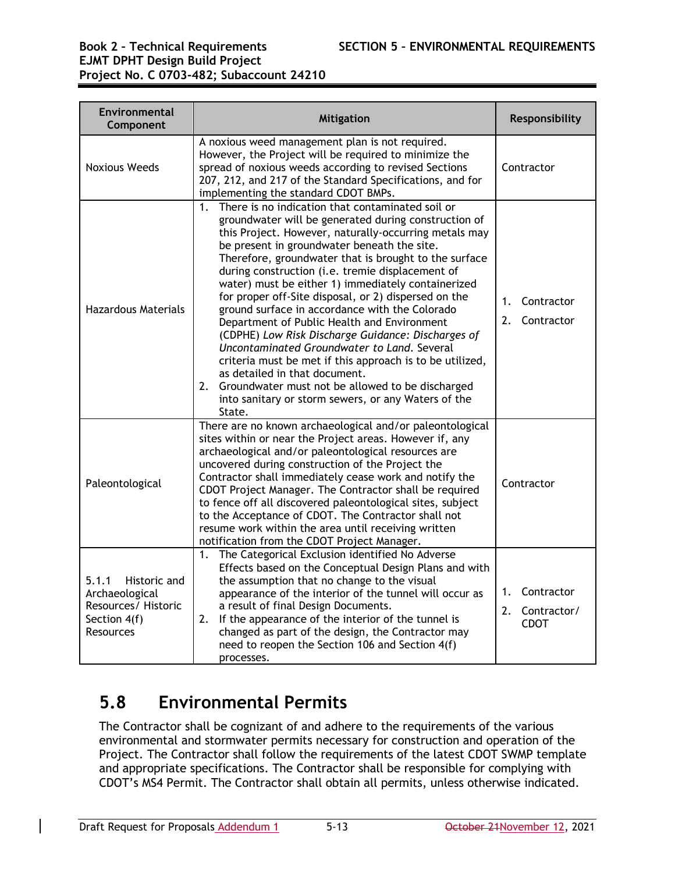# **EJMT DPHT Design Build Project Project No. C 0703-482; Subaccount 24210**

| Environmental<br>Component                                                                  | <b>Mitigation</b>                                                                                                                                                                                                                                                                                                                                                                                                                                                                                                                                                                                                                                                                                                                                                                                                                                                                        | Responsibility                                       |
|---------------------------------------------------------------------------------------------|------------------------------------------------------------------------------------------------------------------------------------------------------------------------------------------------------------------------------------------------------------------------------------------------------------------------------------------------------------------------------------------------------------------------------------------------------------------------------------------------------------------------------------------------------------------------------------------------------------------------------------------------------------------------------------------------------------------------------------------------------------------------------------------------------------------------------------------------------------------------------------------|------------------------------------------------------|
| <b>Noxious Weeds</b>                                                                        | A noxious weed management plan is not required.<br>However, the Project will be required to minimize the<br>spread of noxious weeds according to revised Sections<br>207, 212, and 217 of the Standard Specifications, and for<br>implementing the standard CDOT BMPs.                                                                                                                                                                                                                                                                                                                                                                                                                                                                                                                                                                                                                   | Contractor                                           |
| <b>Hazardous Materials</b>                                                                  | There is no indication that contaminated soil or<br>1 <sub>1</sub><br>groundwater will be generated during construction of<br>this Project. However, naturally-occurring metals may<br>be present in groundwater beneath the site.<br>Therefore, groundwater that is brought to the surface<br>during construction (i.e. tremie displacement of<br>water) must be either 1) immediately containerized<br>for proper off-Site disposal, or 2) dispersed on the<br>ground surface in accordance with the Colorado<br>Department of Public Health and Environment<br>(CDPHE) Low Risk Discharge Guidance: Discharges of<br>Uncontaminated Groundwater to Land. Several<br>criteria must be met if this approach is to be utilized,<br>as detailed in that document.<br>2. Groundwater must not be allowed to be discharged<br>into sanitary or storm sewers, or any Waters of the<br>State. | Contractor<br>$1_{\cdot}$<br>2.<br>Contractor        |
| Paleontological                                                                             | There are no known archaeological and/or paleontological<br>sites within or near the Project areas. However if, any<br>archaeological and/or paleontological resources are<br>uncovered during construction of the Project the<br>Contractor shall immediately cease work and notify the<br>CDOT Project Manager. The Contractor shall be required<br>to fence off all discovered paleontological sites, subject<br>to the Acceptance of CDOT. The Contractor shall not<br>resume work within the area until receiving written<br>notification from the CDOT Project Manager.                                                                                                                                                                                                                                                                                                            | Contractor                                           |
| 5.1.1<br>Historic and<br>Archaeological<br>Resources/ Historic<br>Section 4(f)<br>Resources | The Categorical Exclusion identified No Adverse<br>1.<br>Effects based on the Conceptual Design Plans and with<br>the assumption that no change to the visual<br>appearance of the interior of the tunnel will occur as<br>a result of final Design Documents.<br>If the appearance of the interior of the tunnel is<br>2.<br>changed as part of the design, the Contractor may<br>need to reopen the Section 106 and Section 4(f)<br>processes.                                                                                                                                                                                                                                                                                                                                                                                                                                         | Contractor<br>1.<br>2.<br>Contractor/<br><b>CDOT</b> |

# **5.8 Environmental Permits**

The Contractor shall be cognizant of and adhere to the requirements of the various environmental and stormwater permits necessary for construction and operation of the Project. The Contractor shall follow the requirements of the latest CDOT SWMP template and appropriate specifications. The Contractor shall be responsible for complying with CDOT's MS4 Permit. The Contractor shall obtain all permits, unless otherwise indicated.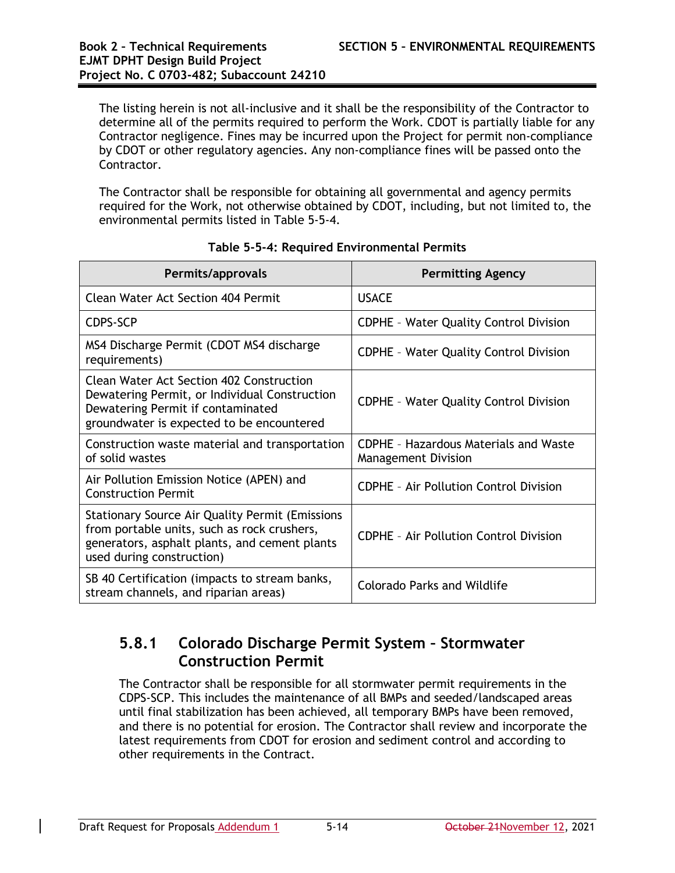The listing herein is not all-inclusive and it shall be the responsibility of the Contractor to determine all of the permits required to perform the Work. CDOT is partially liable for any Contractor negligence. Fines may be incurred upon the Project for permit non-compliance by CDOT or other regulatory agencies. Any non-compliance fines will be passed onto the Contractor.

The Contractor shall be responsible for obtaining all governmental and agency permits required for the Work, not otherwise obtained by CDOT, including, but not limited to, the environmental permits listed in Table 5-5-4.

| Permits/approvals                                                                                                                                                                   | <b>Permitting Agency</b>                                                   |
|-------------------------------------------------------------------------------------------------------------------------------------------------------------------------------------|----------------------------------------------------------------------------|
| <b>Clean Water Act Section 404 Permit</b>                                                                                                                                           | <b>USACE</b>                                                               |
| <b>CDPS-SCP</b>                                                                                                                                                                     | <b>CDPHE - Water Quality Control Division</b>                              |
| MS4 Discharge Permit (CDOT MS4 discharge<br>requirements)                                                                                                                           | <b>CDPHE - Water Quality Control Division</b>                              |
| <b>Clean Water Act Section 402 Construction</b><br>Dewatering Permit, or Individual Construction<br>Dewatering Permit if contaminated<br>groundwater is expected to be encountered  | <b>CDPHE - Water Quality Control Division</b>                              |
| Construction waste material and transportation<br>of solid wastes                                                                                                                   | <b>CDPHE - Hazardous Materials and Waste</b><br><b>Management Division</b> |
| Air Pollution Emission Notice (APEN) and<br><b>Construction Permit</b>                                                                                                              | <b>CDPHE - Air Pollution Control Division</b>                              |
| <b>Stationary Source Air Quality Permit (Emissions</b><br>from portable units, such as rock crushers,<br>generators, asphalt plants, and cement plants<br>used during construction) | <b>CDPHE - Air Pollution Control Division</b>                              |
| SB 40 Certification (impacts to stream banks,<br>stream channels, and riparian areas)                                                                                               | Colorado Parks and Wildlife                                                |

### **Table 5-5-4: Required Environmental Permits**

## **5.8.1 Colorado Discharge Permit System – Stormwater Construction Permit**

The Contractor shall be responsible for all stormwater permit requirements in the CDPS-SCP. This includes the maintenance of all BMPs and seeded/landscaped areas until final stabilization has been achieved, all temporary BMPs have been removed, and there is no potential for erosion. The Contractor shall review and incorporate the latest requirements from CDOT for erosion and sediment control and according to other requirements in the Contract.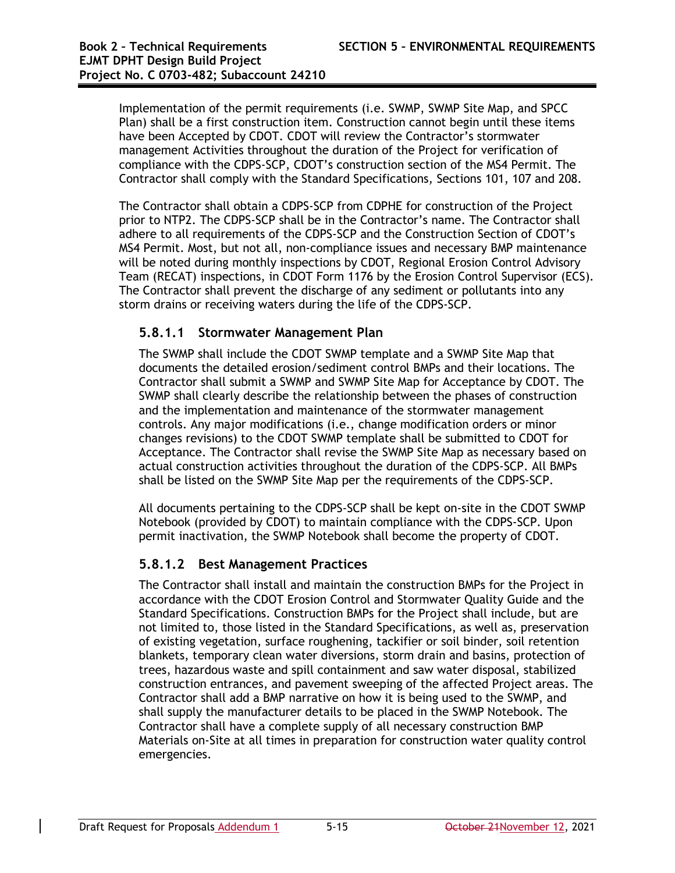Implementation of the permit requirements (i.e. SWMP, SWMP Site Map, and SPCC Plan) shall be a first construction item. Construction cannot begin until these items have been Accepted by CDOT. CDOT will review the Contractor's stormwater management Activities throughout the duration of the Project for verification of compliance with the CDPS-SCP, CDOT's construction section of the MS4 Permit. The Contractor shall comply with the Standard Specifications*,* Sections 101, 107 and 208.

The Contractor shall obtain a CDPS-SCP from CDPHE for construction of the Project prior to NTP2. The CDPS-SCP shall be in the Contractor's name. The Contractor shall adhere to all requirements of the CDPS-SCP and the Construction Section of CDOT's MS4 Permit. Most, but not all, non-compliance issues and necessary BMP maintenance will be noted during monthly inspections by CDOT, Regional Erosion Control Advisory Team (RECAT) inspections, in CDOT Form 1176 by the Erosion Control Supervisor (ECS). The Contractor shall prevent the discharge of any sediment or pollutants into any storm drains or receiving waters during the life of the CDPS-SCP.

### **5.8.1.1 Stormwater Management Plan**

The SWMP shall include the CDOT SWMP template and a SWMP Site Map that documents the detailed erosion/sediment control BMPs and their locations. The Contractor shall submit a SWMP and SWMP Site Map for Acceptance by CDOT. The SWMP shall clearly describe the relationship between the phases of construction and the implementation and maintenance of the stormwater management controls. Any major modifications (i.e., change modification orders or minor changes revisions) to the CDOT SWMP template shall be submitted to CDOT for Acceptance. The Contractor shall revise the SWMP Site Map as necessary based on actual construction activities throughout the duration of the CDPS-SCP. All BMPs shall be listed on the SWMP Site Map per the requirements of the CDPS-SCP.

All documents pertaining to the CDPS-SCP shall be kept on-site in the CDOT SWMP Notebook (provided by CDOT) to maintain compliance with the CDPS-SCP. Upon permit inactivation, the SWMP Notebook shall become the property of CDOT.

### **5.8.1.2 Best Management Practices**

The Contractor shall install and maintain the construction BMPs for the Project in accordance with the CDOT Erosion Control and Stormwater Quality Guide and the Standard Specifications. Construction BMPs for the Project shall include, but are not limited to, those listed in the Standard Specifications, as well as, preservation of existing vegetation, surface roughening, tackifier or soil binder, soil retention blankets, temporary clean water diversions, storm drain and basins, protection of trees, hazardous waste and spill containment and saw water disposal, stabilized construction entrances, and pavement sweeping of the affected Project areas. The Contractor shall add a BMP narrative on how it is being used to the SWMP, and shall supply the manufacturer details to be placed in the SWMP Notebook. The Contractor shall have a complete supply of all necessary construction BMP Materials on-Site at all times in preparation for construction water quality control emergencies.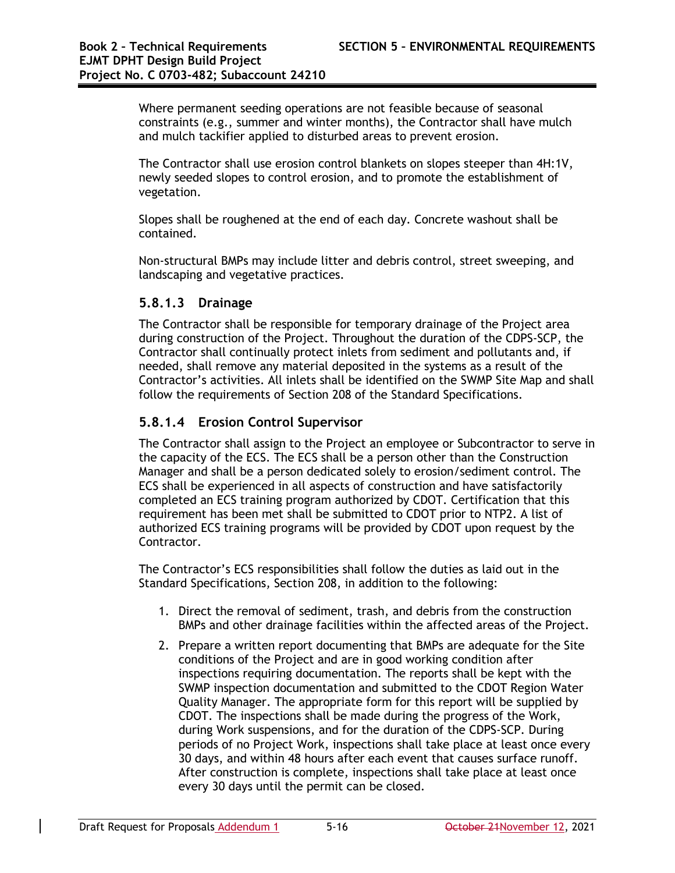Where permanent seeding operations are not feasible because of seasonal constraints (e.g., summer and winter months), the Contractor shall have mulch and mulch tackifier applied to disturbed areas to prevent erosion.

The Contractor shall use erosion control blankets on slopes steeper than 4H:1V, newly seeded slopes to control erosion, and to promote the establishment of vegetation.

Slopes shall be roughened at the end of each day. Concrete washout shall be contained.

Non-structural BMPs may include litter and debris control, street sweeping, and landscaping and vegetative practices.

#### **5.8.1.3 Drainage**

The Contractor shall be responsible for temporary drainage of the Project area during construction of the Project. Throughout the duration of the CDPS-SCP, the Contractor shall continually protect inlets from sediment and pollutants and, if needed, shall remove any material deposited in the systems as a result of the Contractor's activities. All inlets shall be identified on the SWMP Site Map and shall follow the requirements of Section 208 of the Standard Specifications.

### **5.8.1.4 Erosion Control Supervisor**

The Contractor shall assign to the Project an employee or Subcontractor to serve in the capacity of the ECS. The ECS shall be a person other than the Construction Manager and shall be a person dedicated solely to erosion/sediment control. The ECS shall be experienced in all aspects of construction and have satisfactorily completed an ECS training program authorized by CDOT. Certification that this requirement has been met shall be submitted to CDOT prior to NTP2. A list of authorized ECS training programs will be provided by CDOT upon request by the Contractor.

The Contractor's ECS responsibilities shall follow the duties as laid out in the Standard Specifications*,* Section 208, in addition to the following:

- 1. Direct the removal of sediment, trash, and debris from the construction BMPs and other drainage facilities within the affected areas of the Project.
- 2. Prepare a written report documenting that BMPs are adequate for the Site conditions of the Project and are in good working condition after inspections requiring documentation. The reports shall be kept with the SWMP inspection documentation and submitted to the CDOT Region Water Quality Manager. The appropriate form for this report will be supplied by CDOT. The inspections shall be made during the progress of the Work, during Work suspensions, and for the duration of the CDPS-SCP. During periods of no Project Work, inspections shall take place at least once every 30 days, and within 48 hours after each event that causes surface runoff. After construction is complete, inspections shall take place at least once every 30 days until the permit can be closed.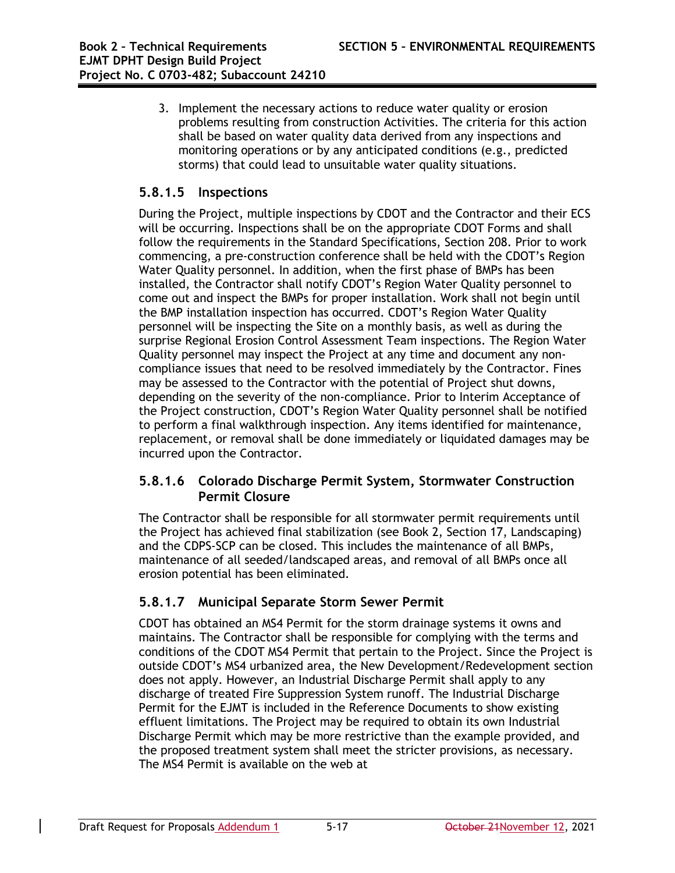3. Implement the necessary actions to reduce water quality or erosion problems resulting from construction Activities. The criteria for this action shall be based on water quality data derived from any inspections and monitoring operations or by any anticipated conditions (e.g., predicted storms) that could lead to unsuitable water quality situations.

### **5.8.1.5 Inspections**

During the Project, multiple inspections by CDOT and the Contractor and their ECS will be occurring. Inspections shall be on the appropriate CDOT Forms and shall follow the requirements in the Standard Specifications, Section 208. Prior to work commencing, a pre-construction conference shall be held with the CDOT's Region Water Quality personnel. In addition, when the first phase of BMPs has been installed, the Contractor shall notify CDOT's Region Water Quality personnel to come out and inspect the BMPs for proper installation. Work shall not begin until the BMP installation inspection has occurred. CDOT's Region Water Quality personnel will be inspecting the Site on a monthly basis, as well as during the surprise Regional Erosion Control Assessment Team inspections. The Region Water Quality personnel may inspect the Project at any time and document any noncompliance issues that need to be resolved immediately by the Contractor. Fines may be assessed to the Contractor with the potential of Project shut downs, depending on the severity of the non-compliance. Prior to Interim Acceptance of the Project construction, CDOT's Region Water Quality personnel shall be notified to perform a final walkthrough inspection. Any items identified for maintenance, replacement, or removal shall be done immediately or liquidated damages may be incurred upon the Contractor.

### **5.8.1.6 Colorado Discharge Permit System, Stormwater Construction Permit Closure**

The Contractor shall be responsible for all stormwater permit requirements until the Project has achieved final stabilization (see Book 2, Section 17, Landscaping) and the CDPS-SCP can be closed. This includes the maintenance of all BMPs, maintenance of all seeded/landscaped areas, and removal of all BMPs once all erosion potential has been eliminated.

### **5.8.1.7 Municipal Separate Storm Sewer Permit**

CDOT has obtained an MS4 Permit for the storm drainage systems it owns and maintains. The Contractor shall be responsible for complying with the terms and conditions of the CDOT MS4 Permit that pertain to the Project. Since the Project is outside CDOT's MS4 urbanized area, the New Development/Redevelopment section does not apply. However, an Industrial Discharge Permit shall apply to any discharge of treated Fire Suppression System runoff. The Industrial Discharge Permit for the EJMT is included in the Reference Documents to show existing effluent limitations. The Project may be required to obtain its own Industrial Discharge Permit which may be more restrictive than the example provided, and the proposed treatment system shall meet the stricter provisions, as necessary. The MS4 Permit is available on the web at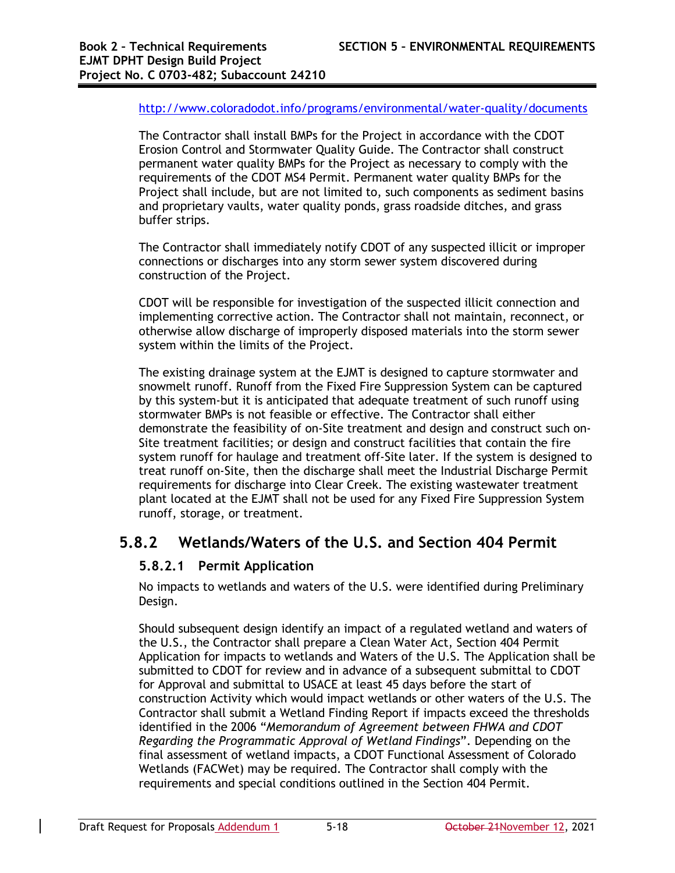#### http://www.coloradodot.info/programs/environmental/water-quality/documents

The Contractor shall install BMPs for the Project in accordance with the CDOT Erosion Control and Stormwater Quality Guide. The Contractor shall construct permanent water quality BMPs for the Project as necessary to comply with the requirements of the CDOT MS4 Permit. Permanent water quality BMPs for the Project shall include, but are not limited to, such components as sediment basins and proprietary vaults, water quality ponds, grass roadside ditches, and grass buffer strips.

The Contractor shall immediately notify CDOT of any suspected illicit or improper connections or discharges into any storm sewer system discovered during construction of the Project.

CDOT will be responsible for investigation of the suspected illicit connection and implementing corrective action. The Contractor shall not maintain, reconnect, or otherwise allow discharge of improperly disposed materials into the storm sewer system within the limits of the Project.

The existing drainage system at the EJMT is designed to capture stormwater and snowmelt runoff. Runoff from the Fixed Fire Suppression System can be captured by this system-but it is anticipated that adequate treatment of such runoff using stormwater BMPs is not feasible or effective. The Contractor shall either demonstrate the feasibility of on-Site treatment and design and construct such on-Site treatment facilities; or design and construct facilities that contain the fire system runoff for haulage and treatment off-Site later. If the system is designed to treat runoff on-Site, then the discharge shall meet the Industrial Discharge Permit requirements for discharge into Clear Creek. The existing wastewater treatment plant located at the EJMT shall not be used for any Fixed Fire Suppression System runoff, storage, or treatment.

### **5.8.2 Wetlands/Waters of the U.S. and Section 404 Permit**

### **5.8.2.1 Permit Application**

No impacts to wetlands and waters of the U.S. were identified during Preliminary Design.

Should subsequent design identify an impact of a regulated wetland and waters of the U.S., the Contractor shall prepare a Clean Water Act, Section 404 Permit Application for impacts to wetlands and Waters of the U.S. The Application shall be submitted to CDOT for review and in advance of a subsequent submittal to CDOT for Approval and submittal to USACE at least 45 days before the start of construction Activity which would impact wetlands or other waters of the U.S. The Contractor shall submit a Wetland Finding Report if impacts exceed the thresholds identified in the 2006 "*Memorandum of Agreement between FHWA and CDOT Regarding the Programmatic Approval of Wetland Findings*". Depending on the final assessment of wetland impacts, a CDOT Functional Assessment of Colorado Wetlands (FACWet) may be required. The Contractor shall comply with the requirements and special conditions outlined in the Section 404 Permit.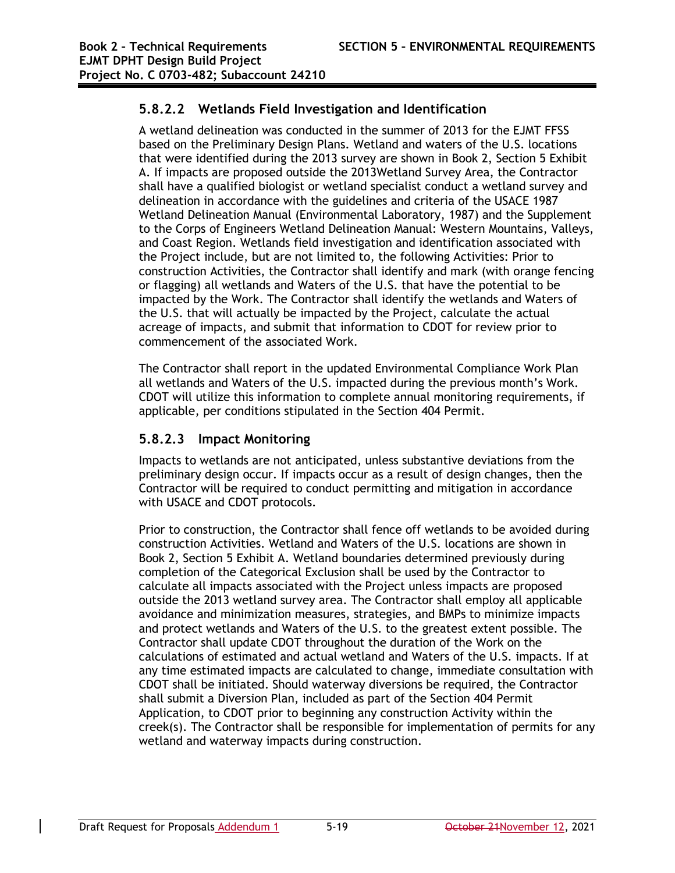### **5.8.2.2 Wetlands Field Investigation and Identification**

A wetland delineation was conducted in the summer of 2013 for the EJMT FFSS based on the Preliminary Design Plans. Wetland and waters of the U.S. locations that were identified during the 2013 survey are shown in Book 2, Section 5 Exhibit A. If impacts are proposed outside the 2013Wetland Survey Area, the Contractor shall have a qualified biologist or wetland specialist conduct a wetland survey and delineation in accordance with the guidelines and criteria of the USACE 1987 Wetland Delineation Manual (Environmental Laboratory, 1987) and the Supplement to the Corps of Engineers Wetland Delineation Manual: Western Mountains, Valleys, and Coast Region. Wetlands field investigation and identification associated with the Project include, but are not limited to, the following Activities: Prior to construction Activities, the Contractor shall identify and mark (with orange fencing or flagging) all wetlands and Waters of the U.S. that have the potential to be impacted by the Work. The Contractor shall identify the wetlands and Waters of the U.S. that will actually be impacted by the Project, calculate the actual acreage of impacts, and submit that information to CDOT for review prior to commencement of the associated Work.

The Contractor shall report in the updated Environmental Compliance Work Plan all wetlands and Waters of the U.S. impacted during the previous month's Work. CDOT will utilize this information to complete annual monitoring requirements, if applicable, per conditions stipulated in the Section 404 Permit.

### **5.8.2.3 Impact Monitoring**

Impacts to wetlands are not anticipated, unless substantive deviations from the preliminary design occur. If impacts occur as a result of design changes, then the Contractor will be required to conduct permitting and mitigation in accordance with USACE and CDOT protocols.

Prior to construction, the Contractor shall fence off wetlands to be avoided during construction Activities. Wetland and Waters of the U.S. locations are shown in Book 2, Section 5 Exhibit A. Wetland boundaries determined previously during completion of the Categorical Exclusion shall be used by the Contractor to calculate all impacts associated with the Project unless impacts are proposed outside the 2013 wetland survey area. The Contractor shall employ all applicable avoidance and minimization measures, strategies, and BMPs to minimize impacts and protect wetlands and Waters of the U.S. to the greatest extent possible. The Contractor shall update CDOT throughout the duration of the Work on the calculations of estimated and actual wetland and Waters of the U.S. impacts. If at any time estimated impacts are calculated to change, immediate consultation with CDOT shall be initiated. Should waterway diversions be required, the Contractor shall submit a Diversion Plan, included as part of the Section 404 Permit Application, to CDOT prior to beginning any construction Activity within the creek(s). The Contractor shall be responsible for implementation of permits for any wetland and waterway impacts during construction.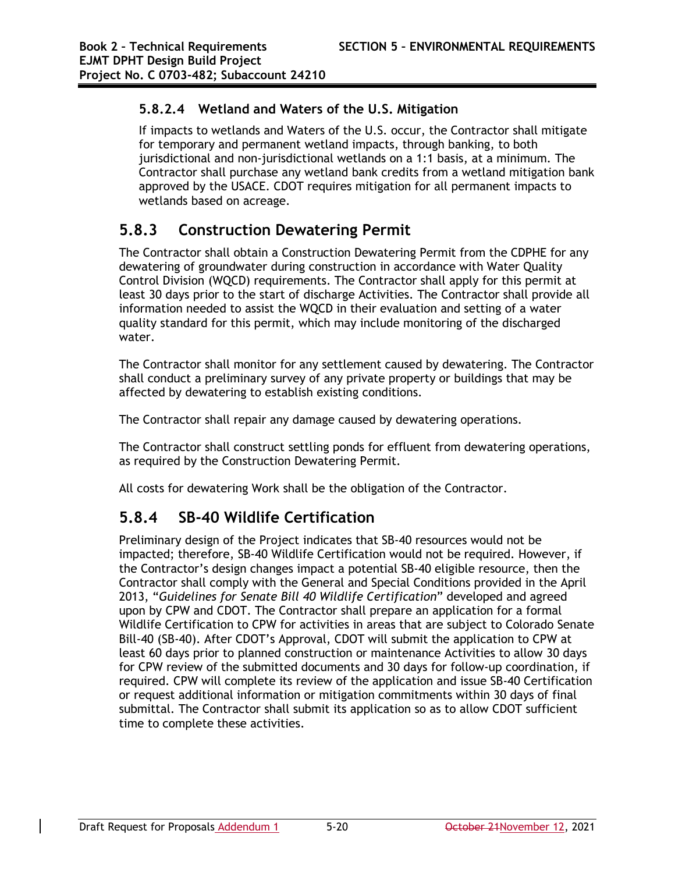### **5.8.2.4 Wetland and Waters of the U.S. Mitigation**

If impacts to wetlands and Waters of the U.S. occur, the Contractor shall mitigate for temporary and permanent wetland impacts, through banking, to both jurisdictional and non-jurisdictional wetlands on a 1:1 basis, at a minimum. The Contractor shall purchase any wetland bank credits from a wetland mitigation bank approved by the USACE. CDOT requires mitigation for all permanent impacts to wetlands based on acreage.

## **5.8.3 Construction Dewatering Permit**

The Contractor shall obtain a Construction Dewatering Permit from the CDPHE for any dewatering of groundwater during construction in accordance with Water Quality Control Division (WQCD) requirements. The Contractor shall apply for this permit at least 30 days prior to the start of discharge Activities. The Contractor shall provide all information needed to assist the WQCD in their evaluation and setting of a water quality standard for this permit, which may include monitoring of the discharged water.

The Contractor shall monitor for any settlement caused by dewatering. The Contractor shall conduct a preliminary survey of any private property or buildings that may be affected by dewatering to establish existing conditions.

The Contractor shall repair any damage caused by dewatering operations.

The Contractor shall construct settling ponds for effluent from dewatering operations, as required by the Construction Dewatering Permit.

All costs for dewatering Work shall be the obligation of the Contractor.

## **5.8.4 SB-40 Wildlife Certification**

Preliminary design of the Project indicates that SB-40 resources would not be impacted; therefore, SB-40 Wildlife Certification would not be required. However, if the Contractor's design changes impact a potential SB-40 eligible resource, then the Contractor shall comply with the General and Special Conditions provided in the April 2013, "*Guidelines for Senate Bill 40 Wildlife Certification*" developed and agreed upon by CPW and CDOT. The Contractor shall prepare an application for a formal Wildlife Certification to CPW for activities in areas that are subject to Colorado Senate Bill-40 (SB-40). After CDOT's Approval, CDOT will submit the application to CPW at least 60 days prior to planned construction or maintenance Activities to allow 30 days for CPW review of the submitted documents and 30 days for follow-up coordination, if required. CPW will complete its review of the application and issue SB-40 Certification or request additional information or mitigation commitments within 30 days of final submittal. The Contractor shall submit its application so as to allow CDOT sufficient time to complete these activities.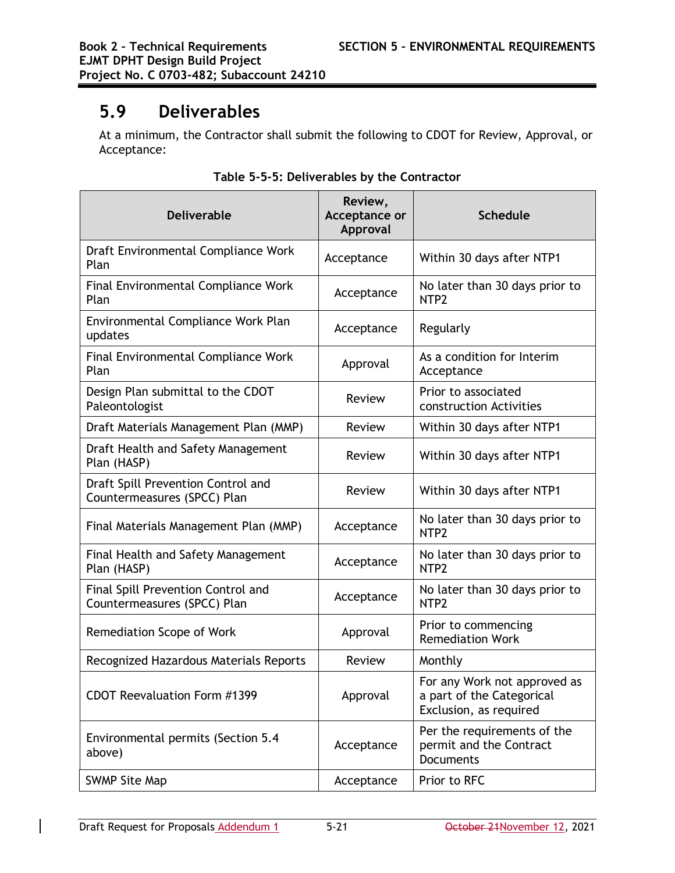# **5.9 Deliverables**

At a minimum, the Contractor shall submit the following to CDOT for Review, Approval, or Acceptance:

| <b>Deliverable</b>                                                | Review,<br>Acceptance or<br>Approval | <b>Schedule</b>                                                                     |
|-------------------------------------------------------------------|--------------------------------------|-------------------------------------------------------------------------------------|
| Draft Environmental Compliance Work<br>Plan                       | Acceptance                           | Within 30 days after NTP1                                                           |
| Final Environmental Compliance Work<br>Plan                       | Acceptance                           | No later than 30 days prior to<br>NTP <sub>2</sub>                                  |
| Environmental Compliance Work Plan<br>updates                     | Acceptance                           | Regularly                                                                           |
| Final Environmental Compliance Work<br>Plan                       | Approval                             | As a condition for Interim<br>Acceptance                                            |
| Design Plan submittal to the CDOT<br>Paleontologist               | Review                               | Prior to associated<br>construction Activities                                      |
| Draft Materials Management Plan (MMP)                             | <b>Review</b>                        | Within 30 days after NTP1                                                           |
| Draft Health and Safety Management<br>Plan (HASP)                 | Review                               | Within 30 days after NTP1                                                           |
| Draft Spill Prevention Control and<br>Countermeasures (SPCC) Plan | Review                               | Within 30 days after NTP1                                                           |
| Final Materials Management Plan (MMP)                             | Acceptance                           | No later than 30 days prior to<br>NTP <sub>2</sub>                                  |
| Final Health and Safety Management<br>Plan (HASP)                 | Acceptance                           | No later than 30 days prior to<br>NTP <sub>2</sub>                                  |
| Final Spill Prevention Control and<br>Countermeasures (SPCC) Plan | Acceptance                           | No later than 30 days prior to<br>NTP <sub>2</sub>                                  |
| Remediation Scope of Work                                         | Approval                             | Prior to commencing<br><b>Remediation Work</b>                                      |
| Recognized Hazardous Materials Reports                            | Review                               | Monthly                                                                             |
| CDOT Reevaluation Form #1399                                      | Approval                             | For any Work not approved as<br>a part of the Categorical<br>Exclusion, as required |
| Environmental permits (Section 5.4<br>above)                      | Acceptance                           | Per the requirements of the<br>permit and the Contract<br><b>Documents</b>          |
| <b>SWMP Site Map</b>                                              | Acceptance                           | Prior to RFC                                                                        |

#### **Table 5-5-5: Deliverables by the Contractor**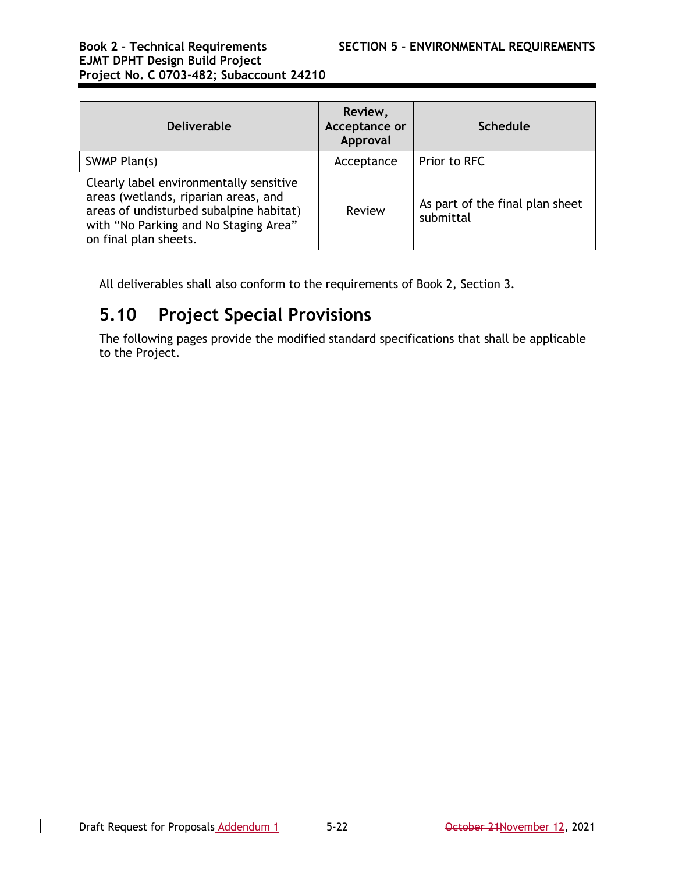| <b>Deliverable</b>                                                                                                                                                                           | Review,<br>Acceptance or<br>Approval | <b>Schedule</b>                              |
|----------------------------------------------------------------------------------------------------------------------------------------------------------------------------------------------|--------------------------------------|----------------------------------------------|
| SWMP Plan(s)                                                                                                                                                                                 | Acceptance                           | Prior to RFC                                 |
| Clearly label environmentally sensitive<br>areas (wetlands, riparian areas, and<br>areas of undisturbed subalpine habitat)<br>with "No Parking and No Staging Area"<br>on final plan sheets. | Review                               | As part of the final plan sheet<br>submittal |

All deliverables shall also conform to the requirements of Book 2, Section 3.

# **5.10 Project Special Provisions**

The following pages provide the modified standard specifications that shall be applicable to the Project.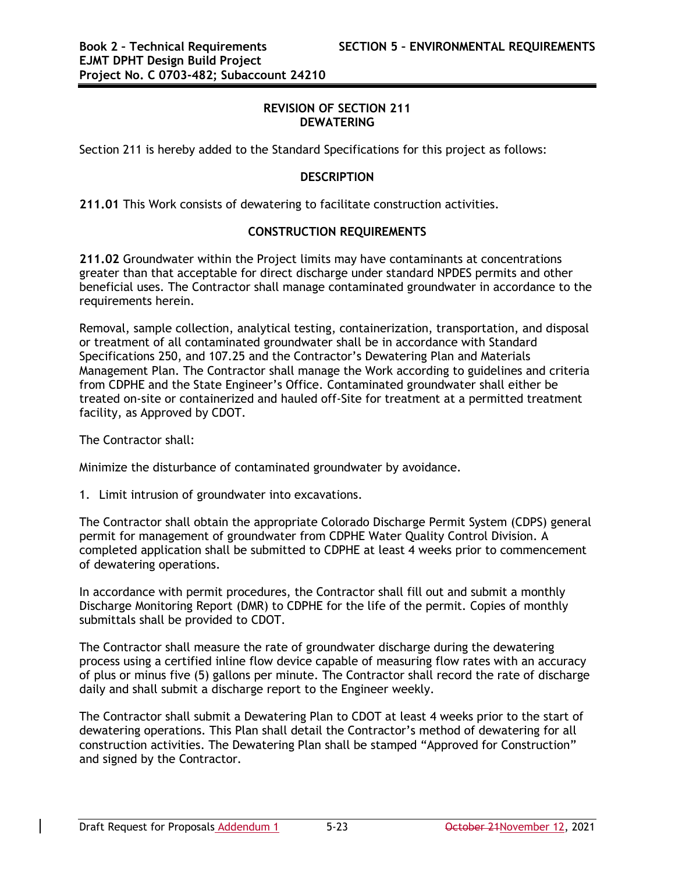#### **REVISION OF SECTION 211 DEWATERING**

Section 211 is hereby added to the Standard Specifications for this project as follows:

#### **DESCRIPTION**

**211.01** This Work consists of dewatering to facilitate construction activities.

#### **CONSTRUCTION REQUIREMENTS**

**211.02** Groundwater within the Project limits may have contaminants at concentrations greater than that acceptable for direct discharge under standard NPDES permits and other beneficial uses. The Contractor shall manage contaminated groundwater in accordance to the requirements herein.

Removal, sample collection, analytical testing, containerization, transportation, and disposal or treatment of all contaminated groundwater shall be in accordance with Standard Specifications 250, and 107.25 and the Contractor's Dewatering Plan and Materials Management Plan. The Contractor shall manage the Work according to guidelines and criteria from CDPHE and the State Engineer's Office. Contaminated groundwater shall either be treated on-site or containerized and hauled off-Site for treatment at a permitted treatment facility, as Approved by CDOT.

The Contractor shall:

Minimize the disturbance of contaminated groundwater by avoidance.

1. Limit intrusion of groundwater into excavations.

The Contractor shall obtain the appropriate Colorado Discharge Permit System (CDPS) general permit for management of groundwater from CDPHE Water Quality Control Division. A completed application shall be submitted to CDPHE at least 4 weeks prior to commencement of dewatering operations.

In accordance with permit procedures, the Contractor shall fill out and submit a monthly Discharge Monitoring Report (DMR) to CDPHE for the life of the permit. Copies of monthly submittals shall be provided to CDOT.

The Contractor shall measure the rate of groundwater discharge during the dewatering process using a certified inline flow device capable of measuring flow rates with an accuracy of plus or minus five (5) gallons per minute. The Contractor shall record the rate of discharge daily and shall submit a discharge report to the Engineer weekly.

The Contractor shall submit a Dewatering Plan to CDOT at least 4 weeks prior to the start of dewatering operations. This Plan shall detail the Contractor's method of dewatering for all construction activities. The Dewatering Plan shall be stamped "Approved for Construction" and signed by the Contractor.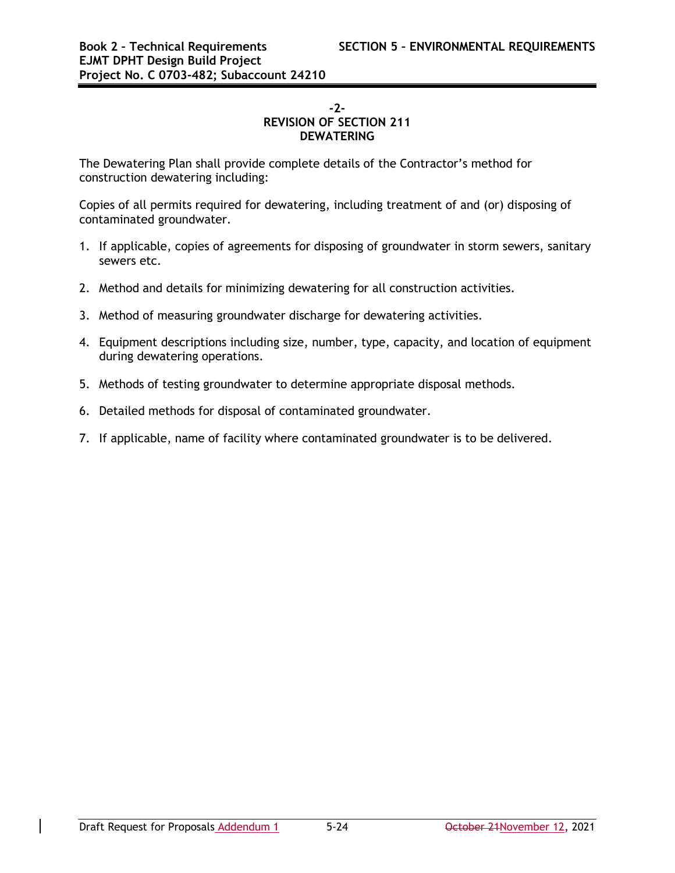#### **-2- REVISION OF SECTION 211 DEWATERING**

The Dewatering Plan shall provide complete details of the Contractor's method for construction dewatering including:

Copies of all permits required for dewatering, including treatment of and (or) disposing of contaminated groundwater.

- 1. If applicable, copies of agreements for disposing of groundwater in storm sewers, sanitary sewers etc.
- 2. Method and details for minimizing dewatering for all construction activities.
- 3. Method of measuring groundwater discharge for dewatering activities.
- 4. Equipment descriptions including size, number, type, capacity, and location of equipment during dewatering operations.
- 5. Methods of testing groundwater to determine appropriate disposal methods.
- 6. Detailed methods for disposal of contaminated groundwater.
- 7. If applicable, name of facility where contaminated groundwater is to be delivered.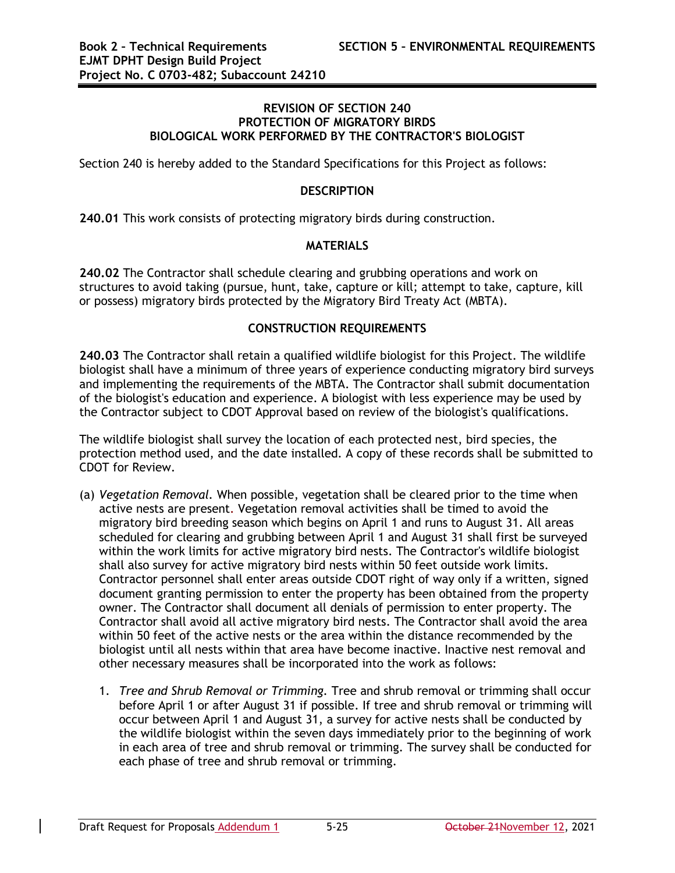#### **REVISION OF SECTION 240 PROTECTION OF MIGRATORY BIRDS BIOLOGICAL WORK PERFORMED BY THE CONTRACTOR'S BIOLOGIST**

Section 240 is hereby added to the Standard Specifications for this Project as follows:

#### **DESCRIPTION**

**240.01** This work consists of protecting migratory birds during construction.

#### **MATERIALS**

**240.02** The Contractor shall schedule clearing and grubbing operations and work on structures to avoid taking (pursue, hunt, take, capture or kill; attempt to take, capture, kill or possess) migratory birds protected by the Migratory Bird Treaty Act (MBTA).

#### **CONSTRUCTION REQUIREMENTS**

**240.03** The Contractor shall retain a qualified wildlife biologist for this Project. The wildlife biologist shall have a minimum of three years of experience conducting migratory bird surveys and implementing the requirements of the MBTA. The Contractor shall submit documentation of the biologist's education and experience. A biologist with less experience may be used by the Contractor subject to CDOT Approval based on review of the biologist's qualifications.

The wildlife biologist shall survey the location of each protected nest, bird species, the protection method used, and the date installed. A copy of these records shall be submitted to CDOT for Review.

- (a) *Vegetation Removal.* When possible, vegetation shall be cleared prior to the time when active nests are present. Vegetation removal activities shall be timed to avoid the migratory bird breeding season which begins on April 1 and runs to August 31. All areas scheduled for clearing and grubbing between April 1 and August 31 shall first be surveyed within the work limits for active migratory bird nests. The Contractor's wildlife biologist shall also survey for active migratory bird nests within 50 feet outside work limits. Contractor personnel shall enter areas outside CDOT right of way only if a written, signed document granting permission to enter the property has been obtained from the property owner. The Contractor shall document all denials of permission to enter property. The Contractor shall avoid all active migratory bird nests. The Contractor shall avoid the area within 50 feet of the active nests or the area within the distance recommended by the biologist until all nests within that area have become inactive. Inactive nest removal and other necessary measures shall be incorporated into the work as follows:
	- 1. *Tree and Shrub Removal or Trimming.* Tree and shrub removal or trimming shall occur before April 1 or after August 31 if possible. If tree and shrub removal or trimming will occur between April 1 and August 31, a survey for active nests shall be conducted by the wildlife biologist within the seven days immediately prior to the beginning of work in each area of tree and shrub removal or trimming. The survey shall be conducted for each phase of tree and shrub removal or trimming.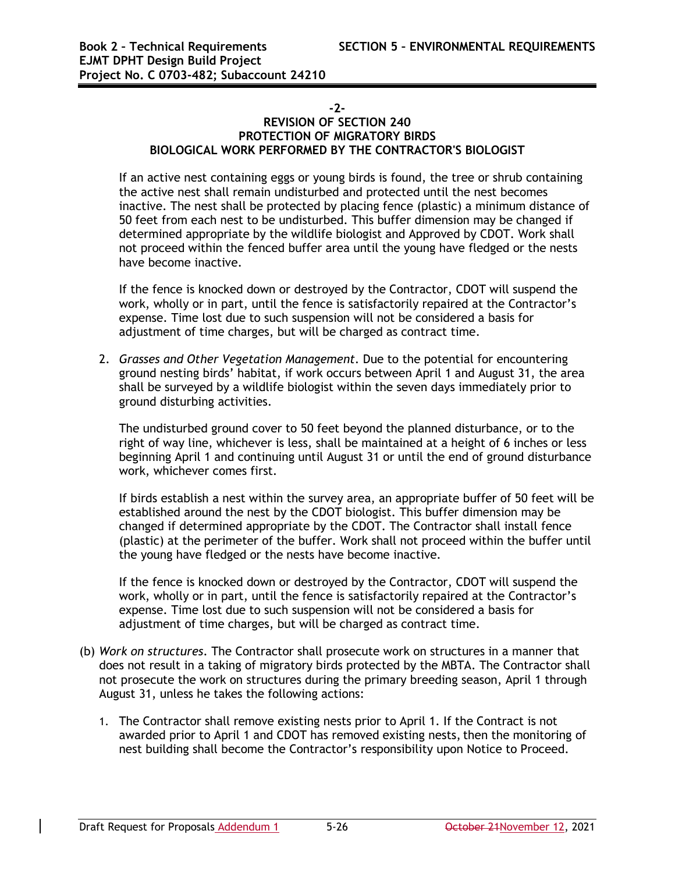#### **-2-**

#### **REVISION OF SECTION 240 PROTECTION OF MIGRATORY BIRDS BIOLOGICAL WORK PERFORMED BY THE CONTRACTOR'S BIOLOGIST**

If an active nest containing eggs or young birds is found, the tree or shrub containing the active nest shall remain undisturbed and protected until the nest becomes inactive. The nest shall be protected by placing fence (plastic) a minimum distance of 50 feet from each nest to be undisturbed. This buffer dimension may be changed if determined appropriate by the wildlife biologist and Approved by CDOT. Work shall not proceed within the fenced buffer area until the young have fledged or the nests have become inactive.

If the fence is knocked down or destroyed by the Contractor, CDOT will suspend the work, wholly or in part, until the fence is satisfactorily repaired at the Contractor's expense. Time lost due to such suspension will not be considered a basis for adjustment of time charges, but will be charged as contract time.

2. *Grasses and Other Vegetation Management*. Due to the potential for encountering ground nesting birds' habitat, if work occurs between April 1 and August 31, the area shall be surveyed by a wildlife biologist within the seven days immediately prior to ground disturbing activities.

The undisturbed ground cover to 50 feet beyond the planned disturbance, or to the right of way line, whichever is less, shall be maintained at a height of 6 inches or less beginning April 1 and continuing until August 31 or until the end of ground disturbance work, whichever comes first.

If birds establish a nest within the survey area, an appropriate buffer of 50 feet will be established around the nest by the CDOT biologist. This buffer dimension may be changed if determined appropriate by the CDOT. The Contractor shall install fence (plastic) at the perimeter of the buffer. Work shall not proceed within the buffer until the young have fledged or the nests have become inactive.

If the fence is knocked down or destroyed by the Contractor, CDOT will suspend the work, wholly or in part, until the fence is satisfactorily repaired at the Contractor's expense. Time lost due to such suspension will not be considered a basis for adjustment of time charges, but will be charged as contract time.

- (b) *Work on structures*. The Contractor shall prosecute work on structures in a manner that does not result in a taking of migratory birds protected by the MBTA. The Contractor shall not prosecute the work on structures during the primary breeding season, April 1 through August 31, unless he takes the following actions:
	- 1. The Contractor shall remove existing nests prior to April 1. If the Contract is not awarded prior to April 1 and CDOT has removed existing nests, then the monitoring of nest building shall become the Contractor's responsibility upon Notice to Proceed.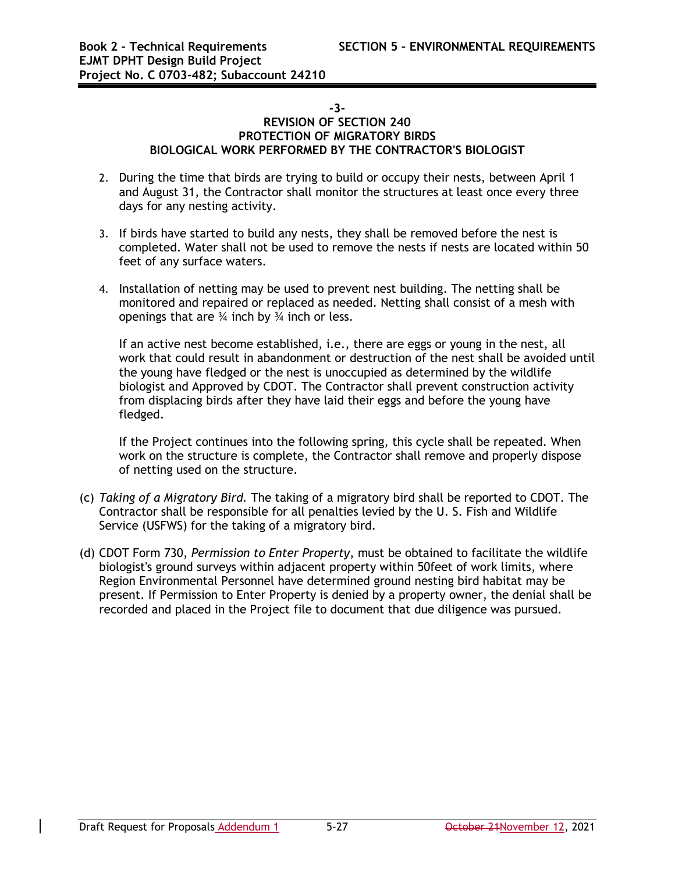#### **-3-**

#### **REVISION OF SECTION 240 PROTECTION OF MIGRATORY BIRDS BIOLOGICAL WORK PERFORMED BY THE CONTRACTOR'S BIOLOGIST**

- 2. During the time that birds are trying to build or occupy their nests, between April 1 and August 31, the Contractor shall monitor the structures at least once every three days for any nesting activity.
- 3. If birds have started to build any nests, they shall be removed before the nest is completed. Water shall not be used to remove the nests if nests are located within 50 feet of any surface waters.
- 4. Installation of netting may be used to prevent nest building. The netting shall be monitored and repaired or replaced as needed. Netting shall consist of a mesh with openings that are  $\frac{3}{4}$  inch by  $\frac{3}{4}$  inch or less.

If an active nest become established, i.e., there are eggs or young in the nest, all work that could result in abandonment or destruction of the nest shall be avoided until the young have fledged or the nest is unoccupied as determined by the wildlife biologist and Approved by CDOT. The Contractor shall prevent construction activity from displacing birds after they have laid their eggs and before the young have fledged.

If the Project continues into the following spring, this cycle shall be repeated. When work on the structure is complete, the Contractor shall remove and properly dispose of netting used on the structure.

- (c) *Taking of a Migratory Bird.* The taking of a migratory bird shall be reported to CDOT. The Contractor shall be responsible for all penalties levied by the U. S. Fish and Wildlife Service (USFWS) for the taking of a migratory bird.
- (d) CDOT Form 730, *Permission to Enter Property*, must be obtained to facilitate the wildlife biologist's ground surveys within adjacent property within 50feet of work limits, where Region Environmental Personnel have determined ground nesting bird habitat may be present. If Permission to Enter Property is denied by a property owner, the denial shall be recorded and placed in the Project file to document that due diligence was pursued.